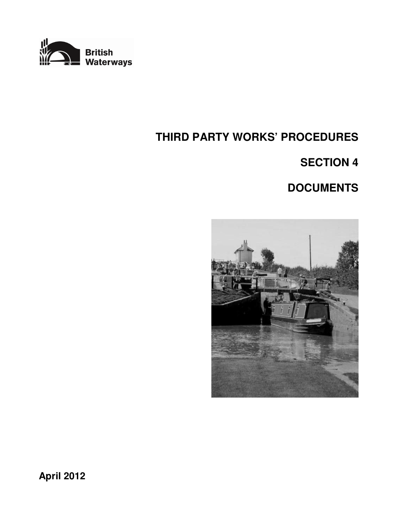

# **THIRD PARTY WORKS' PROCEDURES**

# **SECTION 4**

# **DOCUMENTS**



**April 2012**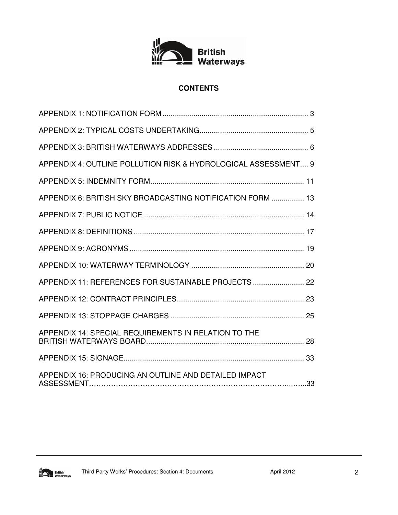

# **CONTENTS**

| APPENDIX 4: OUTLINE POLLUTION RISK & HYDROLOGICAL ASSESSMENT 9 |  |
|----------------------------------------------------------------|--|
|                                                                |  |
| APPENDIX 6: BRITISH SKY BROADCASTING NOTIFICATION FORM  13     |  |
|                                                                |  |
|                                                                |  |
|                                                                |  |
|                                                                |  |
| APPENDIX 11: REFERENCES FOR SUSTAINABLE PROJECTS  22           |  |
|                                                                |  |
|                                                                |  |
| APPENDIX 14: SPECIAL REQUIREMENTS IN RELATION TO THE           |  |
|                                                                |  |
| APPENDIX 16: PRODUCING AN OUTLINE AND DETAILED IMPACT          |  |

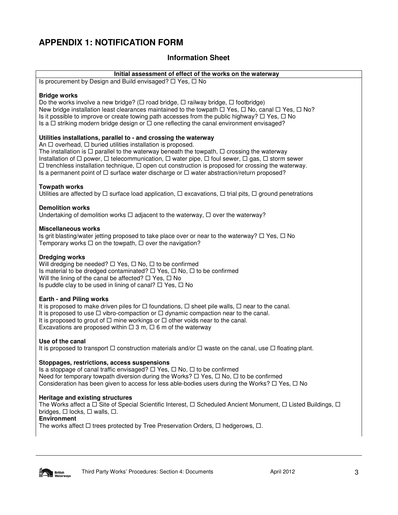# **APPENDIX 1: NOTIFICATION FORM**

# **Information Sheet**

#### **Initial assessment of effect of the works on the waterway**

Is procurement by Design and Build envisaged?  $\Box$  Yes,  $\Box$  No

#### **Bridge works**

Do the works involve a new bridge? ( $\Box$  road bridge,  $\Box$  railway bridge,  $\Box$  footbridge) New bridge installation least clearances maintained to the towpath  $\Box$  Yes,  $\Box$  No, canal  $\Box$  Yes,  $\Box$  No? Is it possible to improve or create towing path accesses from the public highway?  $\Box$  Yes,  $\Box$  No Is a  $\Box$  striking modern bridge design or  $\Box$  one reflecting the canal environment envisaged?

#### **Utilities installations, parallel to - and crossing the waterway**

An  $\Box$  overhead,  $\Box$  buried utilities installation is proposed.

The installation is  $\Box$  parallel to the waterway beneath the towpath,  $\Box$  crossing the waterway Installation of  $\Box$  power,  $\Box$  telecommunication,  $\Box$  water pipe,  $\Box$  foul sewer,  $\Box$  gas,  $\Box$  storm sewer  $\Box$  trenchless installation technique,  $\Box$  open cut construction is proposed for crossing the waterway. Is a permanent point of  $\Box$  surface water discharge or  $\Box$  water abstraction/return proposed?

#### **Towpath works**

Utilities are affected by  $\Box$  surface load application,  $\Box$  excavations,  $\Box$  trial pits,  $\Box$  ground penetrations

#### **Demolition works**

Undertaking of demolition works  $\Box$  adjacent to the waterway,  $\Box$  over the waterway?

#### **Miscellaneous works**

Is grit blasting/water jetting proposed to take place over or near to the waterway?  $\Box$  Yes,  $\Box$  No Temporary works  $\Box$  on the towpath,  $\Box$  over the navigation?

#### **Dredging works**

Will dredging be needed?  $\Box$  Yes,  $\Box$  No,  $\Box$  to be confirmed Is material to be dredged contaminated?  $\Box$  Yes,  $\Box$  No,  $\Box$  to be confirmed Will the lining of the canal be affected?  $\Box$  Yes,  $\Box$  No Is puddle clay to be used in lining of canal?  $\Box$  Yes,  $\Box$  No

#### **Earth - and Piling works**

It is proposed to make driven piles for  $\Box$  foundations,  $\Box$  sheet pile walls,  $\Box$  near to the canal. It is proposed to use  $\Box$  vibro-compaction or  $\Box$  dynamic compaction near to the canal. It is proposed to grout of  $\Box$  mine workings or  $\Box$  other voids near to the canal. Excavations are proposed within  $\Box$  3 m,  $\Box$  6 m of the waterway

#### **Use of the canal**

It is proposed to transport  $\Box$  construction materials and/or  $\Box$  waste on the canal, use  $\Box$  floating plant.

#### **Stoppages, restrictions, access suspensions**

Is a stoppage of canal traffic envisaged?  $\Box$  Yes,  $\Box$  No,  $\Box$  to be confirmed Need for temporary towpath diversion during the Works?  $\Box$  Yes,  $\Box$  No,  $\Box$  to be confirmed Consideration has been given to access for less able-bodies users during the Works?  $\Box$  Yes,  $\Box$  No

#### **Heritage and existing structures**

The Works affect a  $\Box$  Site of Special Scientific Interest,  $\Box$  Scheduled Ancient Monument,  $\Box$  Listed Buildings,  $\Box$ bridges,  $\Box$  locks,  $\Box$  walls,  $\Box$ .

**Environment**

The works affect  $\Box$  trees protected by Tree Preservation Orders,  $\Box$  hedgerows,  $\Box$ .

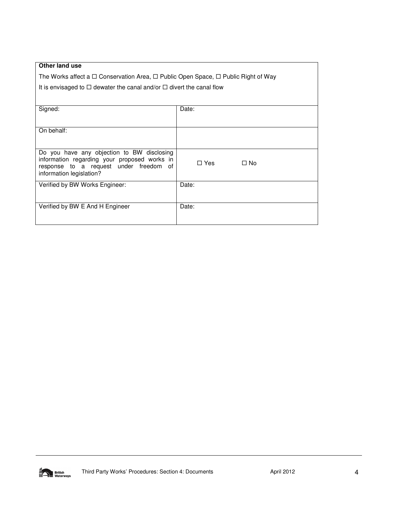| Other land use                                                                                    |                    |  |  |
|---------------------------------------------------------------------------------------------------|--------------------|--|--|
| The Works affect a $\Box$ Conservation Area, $\Box$ Public Open Space, $\Box$ Public Right of Way |                    |  |  |
| It is envisaged to $\Box$ dewater the canal and/or $\Box$ divert the canal flow                   |                    |  |  |
|                                                                                                   |                    |  |  |
| Signed:                                                                                           | Date:              |  |  |
|                                                                                                   |                    |  |  |
| On behalf:                                                                                        |                    |  |  |
|                                                                                                   |                    |  |  |
| Do you have any objection to BW disclosing                                                        |                    |  |  |
| information regarding your proposed works in<br>response to a request under freedom of            | □ Yes<br>$\Box$ No |  |  |
| information legislation?                                                                          |                    |  |  |
| Verified by BW Works Engineer:                                                                    | Date:              |  |  |
|                                                                                                   |                    |  |  |
| Verified by BW E And H Engineer                                                                   | Date:              |  |  |
|                                                                                                   |                    |  |  |

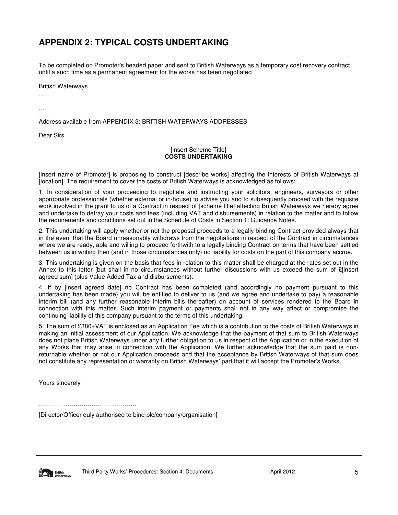# **APPENDIX 2: TYPICAL COSTS UNDERTAKING**

To be completed on Promoter's headed paper and sent to British Waterways as a temporary cost recovery contract, until a such time as a permanent agreement for the works has been negotiated

British Waterways

… …

…

…

Address available from APPENDIX 3: BRITISH WATERWAYS ADDRESSES

Dear Sirs

#### [insert Scheme Title] **COSTS UNDERTAKING**

[insert name of Promoter] is proposing to construct [describe works] affecting the interests of British Waterways at [location]. The requirement to cover the costs of British Waterways is acknowledged as follows:

1. In consideration of your proceeding to negotiate and instructing your solicitors, engineers, surveyors or other appropriate professionals (whether external or in-house) to advise you and to subsequently proceed with the requisite work involved in the grant to us of a Contract in respect of [scheme title] affecting British Waterways we hereby agree and undertake to defray your costs and fees (including VAT and disbursements) in relation to the matter and to follow the requirements and conditions set out in the Schedule of Costs in Section 1: Guidance Notes.

2. This undertaking will apply whether or not the proposal proceeds to a legally binding Contract provided always that in the event that the Board unreasonably withdraws from the negotiations in respect of the Contract in circumstances where we are ready, able and willing to proceed forthwith to a legally binding Contract on terms that have been settled between us in writing then (and in those circumstances only) no liability for costs on the part of this company accrue.

3. This undertaking is given on the basis that fees in relation to this matter shall be charged at the rates set out in the Annex to this letter [but shall in no circumstances without further discussions with us exceed the sum of £[insert agreed sum] (plus Value Added Tax and disbursements).

4. If by [insert agreed date] no Contract has been completed (and accordingly no payment pursuant to this undertaking has been made) you will be entitled to deliver to us (and we agree and undertake to pay) a reasonable interim bill (and any further reasonable interim bills thereafter) on account of services rendered to the Board in connection with this matter. Such interim payment or payments shall not in any way affect or compromise the continuing liability of this company pursuant to the terms of this undertaking.

5. The sum of £380+VAT is enclosed as an Application Fee which is a contribution to the costs of British Waterways in making an initial assessment of our Application. We acknowledge that the payment of that sum to British Waterways does not place British Waterways under any further obligation to us in respect of the Application or in the execution of any Works that may arise in connection with the Application. We further acknowledge that the sum paid is nonreturnable whether or not our Application proceeds and that the acceptance by British Waterways of that sum does not constitute any representation or warranty on British Waterways' part that it will accept the Promoter's Works.

Yours sincerely

…………………………………………

[Director/Officer duly authorised to bind plc/company/organisation]

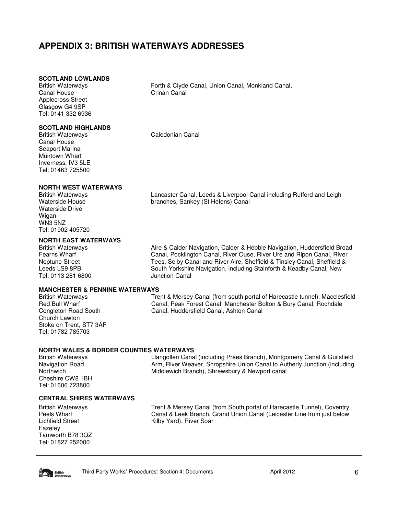# **APPENDIX 3: BRITISH WATERWAYS ADDRESSES**

#### **SCOTLAND LOWLANDS**

British Waterways Canal House Applecross Street Glasgow G4 9SP Tel: 0141 332 6936

#### **SCOTLAND HIGHLANDS**

British Waterways Canal House Seaport Marina Muirtown Wharf Inverness, IV3 5LE Tel: 01463 725500

**NORTH WEST WATERWAYS** 

British Waterways Waterside House Waterside Drive Wigan WN3 5NZ Tel: 01902 405720

#### **NORTH EAST WATERWAYS**

British Waterways Fearns Wharf Neptune Street Leeds LS9 8PB Tel: 0113 281 6800

#### **MANCHESTER & PENNINE WATERWAYS**

British Waterways Red Bull Wharf Congleton Road South Church Lawton Stoke on Trent, ST7 3AP Tel: 01782 785703

Crinan Canal

Forth & Clyde Canal, Union Canal, Monkland Canal,

Caledonian Canal

Lancaster Canal, Leeds & Liverpool Canal including Rufford and Leigh branches, Sankey (St Helens) Canal

Aire & Calder Navigation, Calder & Hebble Navigation, Huddersfield Broad Canal, Pocklington Canal, River Ouse, River Ure and Ripon Canal, River Tees, Selby Canal and River Aire, Sheffield & Tinsley Canal, Sheffield & South Yorkshire Navigation, including Stainforth & Keadby Canal, New Junction Canal

Trent & Mersey Canal (from south portal of Harecastle tunnel), Macclesfield Canal, Peak Forest Canal, Manchester Bolton & Bury Canal, Rochdale Canal, Huddersfield Canal, Ashton Canal

#### **NORTH WALES & BORDER COUNTIES WATERWAYS**

British Waterways Navigation Road **Northwich** Cheshire CW8 1BH Tel: 01606 723800

Llangollen Canal (including Prees Branch), Montgomery Canal & Guilsfield Arm, River Weaver, Shropshire Union Canal to Autherly Junction (including Middlewich Branch), Shrewsbury & Newport canal

#### **CENTRAL SHIRES WATERWAYS**

British Waterways Peels Wharf Lichfield Street Fazeley Tamworth B78 3QZ Tel: 01827 252000

Trent & Mersey Canal (from South portal of Harecastle Tunnel), Coventry Canal & Leek Branch, Grand Union Canal (Leicester Line from just below Kilby Yard), River Soar

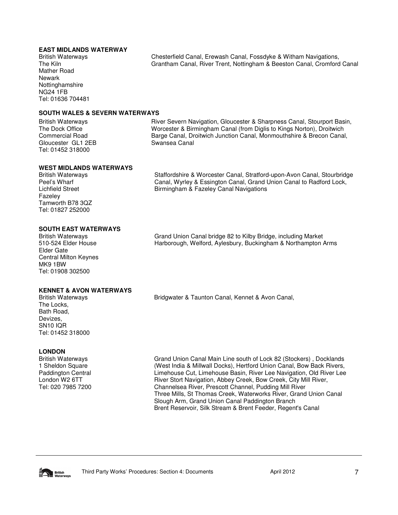#### **EAST MIDLANDS WATERWAY**

British Waterways The Kiln Mather Road Newark Nottinghamshire NG24 1FB Tel: 01636 704481 Chesterfield Canal, Erewash Canal, Fossdyke & Witham Navigations, Grantham Canal, River Trent, Nottingham & Beeston Canal, Cromford Canal

#### **SOUTH WALES & SEVERN WATERWAYS**

British Waterways The Dock Office Commercial Road Gloucester GL1 2EB Tel: 01452 318000

River Severn Navigation, Gloucester & Sharpness Canal, Stourport Basin, Worcester & Birmingham Canal (from Diglis to Kings Norton), Droitwich Barge Canal, Droitwich Junction Canal, Monmouthshire & Brecon Canal, Swansea Canal

Staffordshire & Worcester Canal, Stratford-upon-Avon Canal, Stourbridge Canal, Wyrley & Essington Canal, Grand Union Canal to Radford Lock,

#### **WEST MIDLANDS WATERWAYS**

British Waterways Peel's Wharf Lichfield Street Fazeley Tamworth B78 3QZ Tel: 01827 252000

#### **SOUTH EAST WATERWAYS**

British Waterways 510-524 Elder House Elder Gate Central Milton Keynes MK9 1BW Tel: 01908 302500

#### Grand Union Canal bridge 82 to Kilby Bridge, including Market Harborough, Welford, Aylesbury, Buckingham & Northampton Arms

#### **KENNET & AVON WATERWAYS**

British Waterways The Locks, Bath Road, Devizes, SN10 IQR Tel: 01452 318000

#### **LONDON**

British Waterways 1 Sheldon Square Paddington Central London W2 6TT Tel: 020 7985 7200

Bridgwater & Taunton Canal, Kennet & Avon Canal,

Birmingham & Fazeley Canal Navigations

Grand Union Canal Main Line south of Lock 82 (Stockers) , Docklands (West India & Millwall Docks), Hertford Union Canal, Bow Back Rivers, Limehouse Cut, Limehouse Basin, River Lee Navigation, Old River Lee River Stort Navigation, Abbey Creek, Bow Creek, City Mill River, Channelsea River, Prescott Channel, Pudding Mill River Three Mills, St Thomas Creek, Waterworks River, Grand Union Canal Slough Arm, Grand Union Canal Paddington Branch Brent Reservoir, Silk Stream & Brent Feeder, Regent's Canal

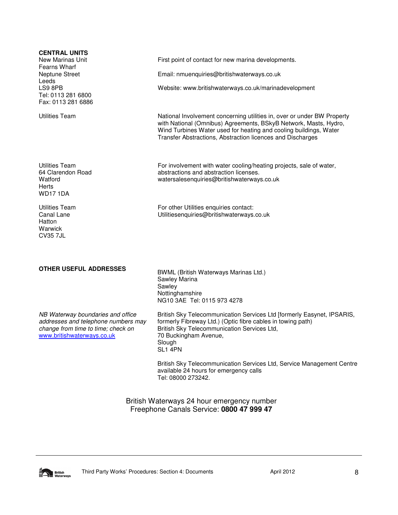| <b>CENTRAL UNITS</b><br>New Marinas Unit<br>Fearns Wharf<br>Neptune Street                                                                   | First point of contact for new marina developments.<br>Email: nmuenquiries@britishwaterways.co.uk                                                                                                                                                                              |
|----------------------------------------------------------------------------------------------------------------------------------------------|--------------------------------------------------------------------------------------------------------------------------------------------------------------------------------------------------------------------------------------------------------------------------------|
| Leeds<br>LS9 8PB<br>Tel: 0113 281 6800<br>Fax: 0113 281 6886                                                                                 | Website: www.britishwaterways.co.uk/marinadevelopment                                                                                                                                                                                                                          |
| <b>Utilities Team</b>                                                                                                                        | National Involvement concerning utilities in, over or under BW Property<br>with National (Omnibus) Agreements, BSkyB Network, Masts, Hydro,<br>Wind Turbines Water used for heating and cooling buildings, Water<br>Transfer Abstractions, Abstraction licences and Discharges |
| <b>Utilities Team</b><br>64 Clarendon Road<br>Watford<br><b>Herts</b><br><b>WD171DA</b>                                                      | For involvement with water cooling/heating projects, sale of water,<br>abstractions and abstraction licenses.<br>watersalesenquiries@britishwaterways.co.uk                                                                                                                    |
| <b>Utilities Team</b><br>Canal Lane<br>Hatton<br>Warwick<br><b>CV35 7JL</b>                                                                  | For other Utilities enquiries contact:<br>Utilitiesenquiries@britishwaterways.co.uk                                                                                                                                                                                            |
| <b>OTHER USEFUL ADDRESSES</b>                                                                                                                | BWML (British Waterways Marinas Ltd.)<br>Sawley Marina<br>Sawley<br>Nottinghamshire<br>NG10 3AE Tel: 0115 973 4278                                                                                                                                                             |
| NB Waterway boundaries and office<br>addresses and telephone numbers may<br>change from time to time: check on<br>www.britishwaterways.co.uk | British Sky Telecommunication Services Ltd [formerly Easynet, IPSARIS,<br>formerly Fibreway Ltd.) (Optic fibre cables in towing path)<br>British Sky Telecommunication Services Ltd,<br>70 Buckingham Avenue,<br>Slough<br>SL1 4PN                                             |
|                                                                                                                                              | British Sky Telecommunication Services Ltd, Service Management Centre<br>available 24 hours for emergency calls<br>Tel: 08000 273242.                                                                                                                                          |
|                                                                                                                                              | British Waterways 24 hour emergency number<br>Freephone Canals Service: 0800 47 999 47                                                                                                                                                                                         |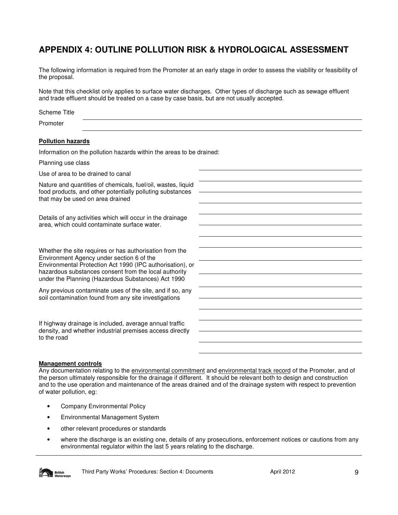# **APPENDIX 4: OUTLINE POLLUTION RISK & HYDROLOGICAL ASSESSMENT**

The following information is required from the Promoter at an early stage in order to assess the viability or feasibility of the proposal.

Note that this checklist only applies to surface water discharges. Other types of discharge such as sewage effluent and trade effluent should be treated on a case by case basis, but are not usually accepted.

| <b>Scheme Title</b>                                                                                                                                           |  |
|---------------------------------------------------------------------------------------------------------------------------------------------------------------|--|
| Promoter                                                                                                                                                      |  |
| <b>Pollution hazards</b>                                                                                                                                      |  |
| Information on the pollution hazards within the areas to be drained:                                                                                          |  |
| Planning use class                                                                                                                                            |  |
| Use of area to be drained to canal                                                                                                                            |  |
| Nature and quantities of chemicals, fuel/oil, wastes, liquid<br>food products, and other potentially polluting substances<br>that may be used on area drained |  |
|                                                                                                                                                               |  |
| Details of any activities which will occur in the drainage<br>area, which could contaminate surface water.                                                    |  |
|                                                                                                                                                               |  |
| Whether the site requires or has authorisation from the<br>Environment Agency under section 6 of the                                                          |  |
| Environmental Protection Act 1990 (IPC authorisation), or<br>hazardous substances consent from the local authority                                            |  |
| under the Planning (Hazardous Substances) Act 1990                                                                                                            |  |
| Any previous contaminate uses of the site, and if so, any<br>soil contamination found from any site investigations                                            |  |
|                                                                                                                                                               |  |
| If highway drainage is included, average annual traffic                                                                                                       |  |
| density, and whether industrial premises access directly<br>to the road                                                                                       |  |
|                                                                                                                                                               |  |

#### **Management controls**

Any documentation relating to the environmental commitment and environmental track record of the Promoter, and of the person ultimately responsible for the drainage if different. It should be relevant both to design and construction and to the use operation and maintenance of the areas drained and of the drainage system with respect to prevention of water pollution, eg:

- Company Environmental Policy
- Environmental Management System
- other relevant procedures or standards
- where the discharge is an existing one, details of any prosecutions, enforcement notices or cautions from any environmental regulator within the last 5 years relating to the discharge.

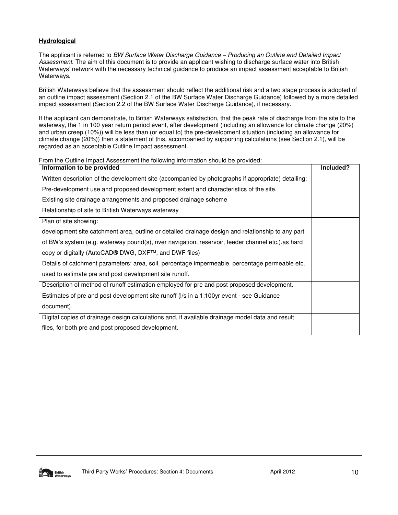#### **Hydrological**

The applicant is referred to BW Surface Water Discharge Guidance – Producing an Outline and Detailed Impact Assessment. The aim of this document is to provide an applicant wishing to discharge surface water into British Waterways' network with the necessary technical guidance to produce an impact assessment acceptable to British Waterways.

British Waterways believe that the assessment should reflect the additional risk and a two stage process is adopted of an outline impact assessment (Section 2.1 of the BW Surface Water Discharge Guidance) followed by a more detailed impact assessment (Section 2.2 of the BW Surface Water Discharge Guidance), if necessary.

If the applicant can demonstrate, to British Waterways satisfaction, that the peak rate of discharge from the site to the waterway, the 1 in 100 year return period event, after development (including an allowance for climate change (20%) and urban creep (10%)) will be less than (or equal to) the pre-development situation (including an allowance for climate change (20%)) then a statement of this, accompanied by supporting calculations (see Section 2.1), will be regarded as an acceptable Outline Impact assessment.

From the Outline Impact Assessment the following information should be provided:

| Information to be provided                                                                         | Included? |
|----------------------------------------------------------------------------------------------------|-----------|
| Written description of the development site (accompanied by photographs if appropriate) detailing: |           |
| Pre-development use and proposed development extent and characteristics of the site.               |           |
| Existing site drainage arrangements and proposed drainage scheme                                   |           |
| Relationship of site to British Waterways waterway                                                 |           |
| Plan of site showing:                                                                              |           |
| development site catchment area, outline or detailed drainage design and relationship to any part  |           |
| of BW's system (e.g. waterway pound(s), river navigation, reservoir, feeder channel etc.) as hard  |           |
| copy or digitally (AutoCAD <sup>®</sup> DWG, DXF™, and DWF files)                                  |           |
| Details of catchment parameters: area, soil, percentage impermeable, percentage permeable etc.     |           |
| used to estimate pre and post development site runoff.                                             |           |
| Description of method of runoff estimation employed for pre and post proposed development.         |           |
| Estimates of pre and post development site runoff (I/s in a 1:100yr event - see Guidance           |           |
| document).                                                                                         |           |
| Digital copies of drainage design calculations and, if available drainage model data and result    |           |
| files, for both pre and post proposed development.                                                 |           |

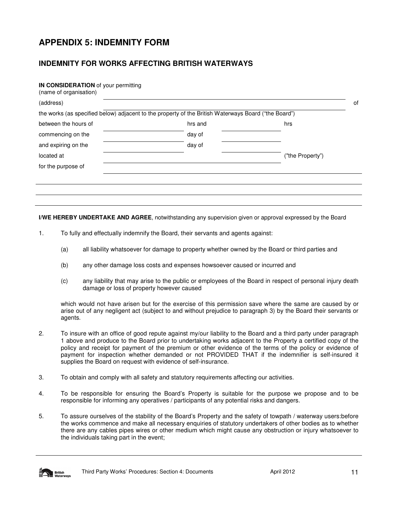# **APPENDIX 5: INDEMNITY FORM**

# **INDEMNITY FOR WORKS AFFECTING BRITISH WATERWAYS**

#### **IN CONSIDERATION** of your permitting

| (name of organisation)                                                                               |         |                  |    |
|------------------------------------------------------------------------------------------------------|---------|------------------|----|
| (address)                                                                                            |         |                  | of |
| the works (as specified below) adjacent to the property of the British Waterways Board ("the Board") |         |                  |    |
| between the hours of                                                                                 | hrs and | hrs              |    |
| commencing on the                                                                                    | day of  |                  |    |
| and expiring on the                                                                                  | day of  |                  |    |
| located at                                                                                           |         | ("the Property") |    |
| for the purpose of                                                                                   |         |                  |    |
|                                                                                                      |         |                  |    |
|                                                                                                      |         |                  |    |
|                                                                                                      |         |                  |    |

**I/WE HEREBY UNDERTAKE AND AGREE**, notwithstanding any supervision given or approval expressed by the Board

- 1. To fully and effectually indemnify the Board, their servants and agents against:
	- (a) all liability whatsoever for damage to property whether owned by the Board or third parties and
	- (b) any other damage loss costs and expenses howsoever caused or incurred and
	- (c) any liability that may arise to the public or employees of the Board in respect of personal injury death damage or loss of property however caused

which would not have arisen but for the exercise of this permission save where the same are caused by or arise out of any negligent act (subject to and without prejudice to paragraph 3) by the Board their servants or agents.

- 2. To insure with an office of good repute against my/our liability to the Board and a third party under paragraph 1 above and produce to the Board prior to undertaking works adjacent to the Property a certified copy of the policy and receipt for payment of the premium or other evidence of the terms of the policy or evidence of payment for inspection whether demanded or not PROVIDED THAT if the indemnifier is self-insured it supplies the Board on request with evidence of self-insurance.
- 3. To obtain and comply with all safety and statutory requirements affecting our activities.
- 4. To be responsible for ensuring the Board's Property is suitable for the purpose we propose and to be responsible for informing any operatives / participants of any potential risks and dangers.
- 5. To assure ourselves of the stability of the Board's Property and the safety of towpath / waterway users:before the works commence and make all necessary enquiries of statutory undertakers of other bodies as to whether there are any cables pipes wires or other medium which might cause any obstruction or injury whatsoever to the individuals taking part in the event;

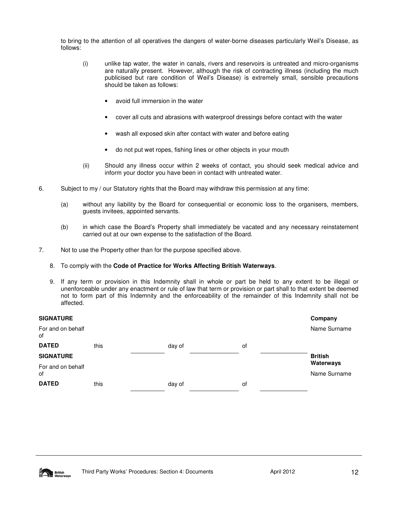to bring to the attention of all operatives the dangers of water-borne diseases particularly Weil's Disease, as follows:

- (i) unlike tap water, the water in canals, rivers and reservoirs is untreated and micro-organisms are naturally present. However, although the risk of contracting illness (including the much publicised but rare condition of Weil's Disease) is extremely small, sensible precautions should be taken as follows:
	- avoid full immersion in the water
	- cover all cuts and abrasions with waterproof dressings before contact with the water
	- wash all exposed skin after contact with water and before eating
	- do not put wet ropes, fishing lines or other objects in your mouth
- (ii) Should any illness occur within 2 weeks of contact, you should seek medical advice and inform your doctor you have been in contact with untreated water.
- 6. Subject to my / our Statutory rights that the Board may withdraw this permission at any time:
	- (a) without any liability by the Board for consequential or economic loss to the organisers, members, guests invitees, appointed servants.
	- (b) in which case the Board's Property shall immediately be vacated and any necessary reinstatement carried out at our own expense to the satisfaction of the Board.
- 7. Not to use the Property other than for the purpose specified above.
	- 8. To comply with the **Code of Practice for Works Affecting British Waterways**.
	- 9. If any term or provision in this Indemnity shall in whole or part be held to any extent to be illegal or unenforceable under any enactment or rule of law that term or provision or part shall to that extent be deemed not to form part of this Indemnity and the enforceability of the remainder of this Indemnity shall not be affected.

| <b>SIGNATURE</b>        |      |        |    | Company        |
|-------------------------|------|--------|----|----------------|
| For and on behalf<br>of |      |        |    | Name Surname   |
| <b>DATED</b>            | this | day of | οf |                |
| <b>SIGNATURE</b>        |      |        |    | <b>British</b> |
| For and on behalf       |      |        |    | Waterways      |
| of                      |      |        |    | Name Surname   |
| <b>DATED</b>            | this | day of | οf |                |

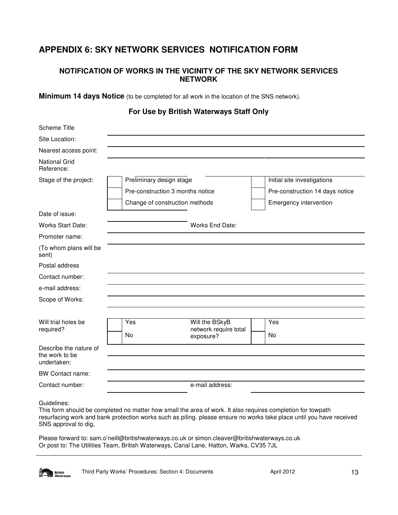# **APPENDIX 6: SKY NETWORK SERVICES NOTIFICATION FORM**

# **NOTIFICATION OF WORKS IN THE VICINITY OF THE SKY NETWORK SERVICES NETWORK**

**Minimum 14 days Notice** (to be completed for all work in the location of the SNS network).

# **For Use by British Waterways Staff Only**

| <b>Scheme Title</b>                                     |                          |                                    |                                 |
|---------------------------------------------------------|--------------------------|------------------------------------|---------------------------------|
| Site Location:                                          |                          |                                    |                                 |
| Nearest access point:                                   |                          |                                    |                                 |
| <b>National Grid</b><br>Reference:                      |                          |                                    |                                 |
| Stage of the project:                                   | Preliminary design stage |                                    | Initial site investigations     |
|                                                         |                          | Pre-construction 3 months notice   | Pre-construction 14 days notice |
|                                                         |                          | Change of construction methods     | Emergency intervention          |
| Date of issue:                                          |                          |                                    |                                 |
| <b>Works Start Date:</b>                                |                          | Works End Date:                    |                                 |
| Promoter name:                                          |                          |                                    |                                 |
| (To whom plans will be<br>sent)                         |                          |                                    |                                 |
| Postal address                                          |                          |                                    |                                 |
| Contact number:                                         |                          |                                    |                                 |
| e-mail address:                                         |                          |                                    |                                 |
| Scope of Works:                                         |                          |                                    |                                 |
|                                                         |                          |                                    |                                 |
| Will trial holes be                                     | Yes                      | Will the BSkyB                     | Yes                             |
| required?                                               | No                       | network require total<br>exposure? | No                              |
| Describe the nature of<br>the work to be<br>undertaken: |                          |                                    |                                 |
| <b>BW Contact name:</b>                                 |                          |                                    |                                 |
| Contact number:                                         |                          | e-mail address:                    |                                 |
|                                                         |                          |                                    |                                 |

Guidelines:

This form should be completed no matter how small the area of work. It also requires completion for towpath resurfacing work and bank protection works such as piling. please ensure no works take place until you have received SNS approval to dig,

Please forward to: sam.o'neill@britishwaterways.co.uk or simon.cleaver@britishwaterways.co.uk Or post to: The Utilities Team, British Waterways, Canal Lane, Hatton, Warks, CV35 7JL

**British**<br>Waterways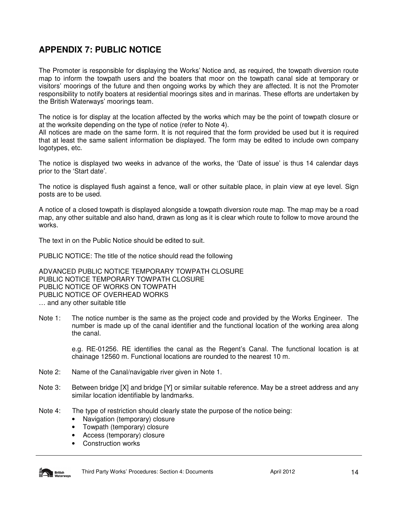# **APPENDIX 7: PUBLIC NOTICE**

The Promoter is responsible for displaying the Works' Notice and, as required, the towpath diversion route map to inform the towpath users and the boaters that moor on the towpath canal side at temporary or visitors' moorings of the future and then ongoing works by which they are affected. It is not the Promoter responsibility to notify boaters at residential moorings sites and in marinas. These efforts are undertaken by the British Waterways' moorings team.

The notice is for display at the location affected by the works which may be the point of towpath closure or at the worksite depending on the type of notice (refer to Note 4).

All notices are made on the same form. It is not required that the form provided be used but it is required that at least the same salient information be displayed. The form may be edited to include own company logotypes, etc.

The notice is displayed two weeks in advance of the works, the 'Date of issue' is thus 14 calendar days prior to the 'Start date'.

The notice is displayed flush against a fence, wall or other suitable place, in plain view at eye level. Sign posts are to be used.

A notice of a closed towpath is displayed alongside a towpath diversion route map. The map may be a road map, any other suitable and also hand, drawn as long as it is clear which route to follow to move around the works.

The text in on the Public Notice should be edited to suit.

PUBLIC NOTICE: The title of the notice should read the following

ADVANCED PUBLIC NOTICE TEMPORARY TOWPATH CLOSURE PUBLIC NOTICE TEMPORARY TOWPATH CLOSURE PUBLIC NOTICE OF WORKS ON TOWPATH PUBLIC NOTICE OF OVERHEAD WORKS … and any other suitable title

Note 1: The notice number is the same as the project code and provided by the Works Engineer. The number is made up of the canal identifier and the functional location of the working area along the canal.

> e.g. RE-01256. RE identifies the canal as the Regent's Canal. The functional location is at chainage 12560 m. Functional locations are rounded to the nearest 10 m.

- Note 2: Name of the Canal/navigable river given in Note 1.
- Note 3: Between bridge [X] and bridge [Y] or similar suitable reference. May be a street address and any similar location identifiable by landmarks.
- Note 4: The type of restriction should clearly state the purpose of the notice being:
	- Navigation (temporary) closure
	- Towpath (temporary) closure
	- Access (temporary) closure
	- Construction works

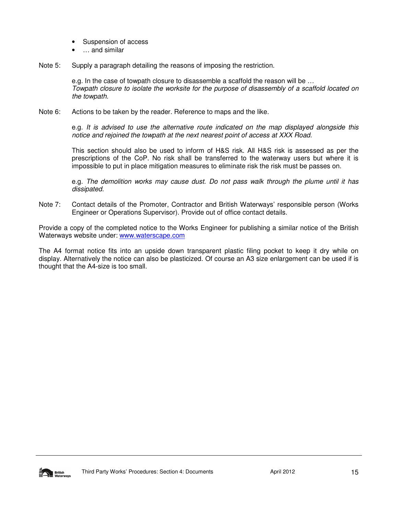- Suspension of access
- ... and similar
- Note 5: Supply a paragraph detailing the reasons of imposing the restriction.

e.g. In the case of towpath closure to disassemble a scaffold the reason will be … Towpath closure to isolate the worksite for the purpose of disassembly of a scaffold located on the towpath.

Note 6: Actions to be taken by the reader. Reference to maps and the like.

e.g. It is advised to use the alternative route indicated on the map displayed alongside this notice and rejoined the towpath at the next nearest point of access at XXX Road.

This section should also be used to inform of H&S risk. All H&S risk is assessed as per the prescriptions of the CoP. No risk shall be transferred to the waterway users but where it is impossible to put in place mitigation measures to eliminate risk the risk must be passes on.

e.g. The demolition works may cause dust. Do not pass walk through the plume until it has dissipated.

Note 7: Contact details of the Promoter, Contractor and British Waterways' responsible person (Works Engineer or Operations Supervisor). Provide out of office contact details.

Provide a copy of the completed notice to the Works Engineer for publishing a similar notice of the British Waterways website under: www.waterscape.com

The A4 format notice fits into an upside down transparent plastic filing pocket to keep it dry while on display. Alternatively the notice can also be plasticized. Of course an A3 size enlargement can be used if is thought that the A4-size is too small.

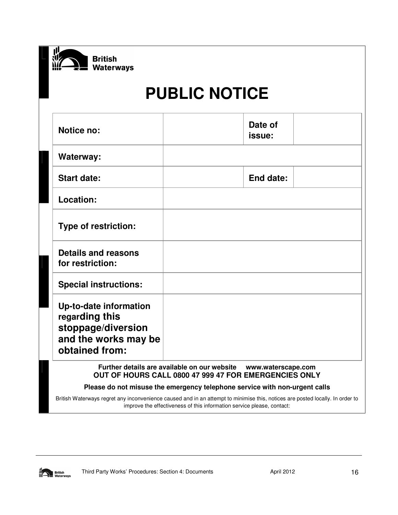

# **PUBLIC NOTICE**

| <b>Notice no:</b>                                                                                        |                                              | Date of<br>issue:  |  |
|----------------------------------------------------------------------------------------------------------|----------------------------------------------|--------------------|--|
| Waterway:                                                                                                |                                              |                    |  |
| <b>Start date:</b>                                                                                       |                                              | <b>End date:</b>   |  |
| Location:                                                                                                |                                              |                    |  |
| <b>Type of restriction:</b>                                                                              |                                              |                    |  |
| <b>Details and reasons</b><br>for restriction:                                                           |                                              |                    |  |
| <b>Special instructions:</b>                                                                             |                                              |                    |  |
| Up-to-date information<br>regarding this<br>stoppage/diversion<br>and the works may be<br>obtained from: |                                              |                    |  |
|                                                                                                          | Further details are available on our website | www.waterscape.com |  |

# **OUT OF HOURS CALL 0800 47 999 47 FOR EMERGENCIES ONLY**

# **Please do not misuse the emergency telephone service with non-urgent calls**

British Waterways regret any inconvenience caused and in an attempt to minimise this, notices are posted locally. In order to improve the effectiveness of this information service please, contact:

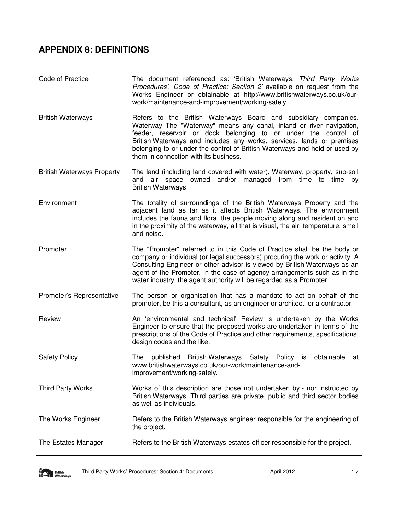# **APPENDIX 8: DEFINITIONS**

- Code of Practice The document referenced as: 'British Waterways, Third Party Works Procedures', Code of Practice; Section 2' available on request from the Works Engineer or obtainable at http://www.britishwaterways.co.uk/ourwork/maintenance-and-improvement/working-safely.
- British Waterways **Refers** to the British Waterways Board and subsidiary companies. Waterway The "Waterway" means any canal, inland or river navigation, feeder, reservoir or dock belonging to or under the control of British Waterways and includes any works, services, lands or premises belonging to or under the control of British Waterways and held or used by them in connection with its business.
- British Waterways Property The land (including land covered with water), Waterway, property, sub-soil and air space owned and/or managed from time to time by British Waterways.
- Environment The totality of surroundings of the British Waterways Property and the adjacent land as far as it affects British Waterways. The environment includes the fauna and flora, the people moving along and resident on and in the proximity of the waterway, all that is visual, the air, temperature, smell and noise.
- Promoter The "Promoter" referred to in this Code of Practice shall be the body or company or individual (or legal successors) procuring the work or activity. A Consulting Engineer or other advisor is viewed by British Waterways as an agent of the Promoter. In the case of agency arrangements such as in the water industry, the agent authority will be regarded as a Promoter.
- Promoter's Representative The person or organisation that has a mandate to act on behalf of the promoter, be this a consultant, as an engineer or architect, or a contractor.
- Review An 'environmental and technical' Review is undertaken by the Works Engineer to ensure that the proposed works are undertaken in terms of the prescriptions of the Code of Practice and other requirements, specifications, design codes and the like.
- Safety Policy **The published British Waterways** Safety Policy is obtainable at www.britishwaterways.co.uk/our-work/maintenance-andimprovement/working-safely.
- Third Party Works Works of this description are those not undertaken by nor instructed by British Waterways. Third parties are private, public and third sector bodies as well as individuals.
- The Works Engineer **Refers to the British Waterways engineer responsible for the engineering of** the project.
- The Estates Manager Refers to the British Waterways estates officer responsible for the project.

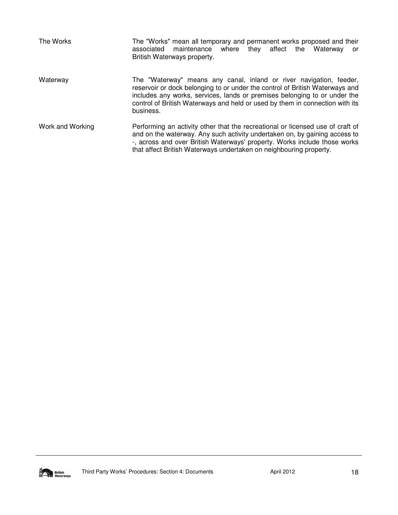| The Works        | The "Works" mean all temporary and permanent works proposed and their<br>associated<br>maintenance where they affect<br>the<br>Waterway<br>or<br>British Waterways property.                                                                                                                                                  |
|------------------|-------------------------------------------------------------------------------------------------------------------------------------------------------------------------------------------------------------------------------------------------------------------------------------------------------------------------------|
| Waterway         | The "Waterway" means any canal, inland or river navigation, feeder,<br>reservoir or dock belonging to or under the control of British Waterways and<br>includes any works, services, lands or premises belonging to or under the<br>control of British Waterways and held or used by them in connection with its<br>business. |
| Work and Working | Performing an activity other that the recreational or licensed use of craft of<br>and on the waterway. Any such activity undertaken on, by gaining access to<br>-, across and over British Waterways' property. Works include those works<br>that affect British Waterways undertaken on neighbouring property.               |

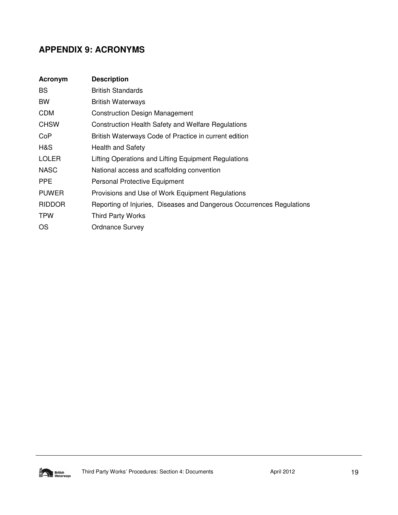# **APPENDIX 9: ACRONYMS**

| Acronym       | <b>Description</b>                                                    |
|---------------|-----------------------------------------------------------------------|
| BS.           | <b>British Standards</b>                                              |
| <b>BW</b>     | <b>British Waterways</b>                                              |
| <b>CDM</b>    | <b>Construction Design Management</b>                                 |
| <b>CHSW</b>   | <b>Construction Health Safety and Welfare Regulations</b>             |
| CoP           | British Waterways Code of Practice in current edition                 |
| H&S           | <b>Health and Safety</b>                                              |
| <b>LOLER</b>  | Lifting Operations and Lifting Equipment Regulations                  |
| <b>NASC</b>   | National access and scaffolding convention                            |
| <b>PPE</b>    | Personal Protective Equipment                                         |
| <b>PUWER</b>  | Provisions and Use of Work Equipment Regulations                      |
| <b>RIDDOR</b> | Reporting of Injuries, Diseases and Dangerous Occurrences Regulations |
| <b>TPW</b>    | <b>Third Party Works</b>                                              |
| OS.           | <b>Ordnance Survey</b>                                                |

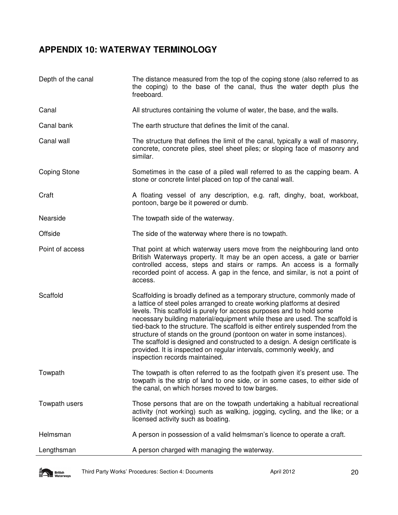# **APPENDIX 10: WATERWAY TERMINOLOGY**

| Depth of the canal  | The distance measured from the top of the coping stone (also referred to as<br>the coping) to the base of the canal, thus the water depth plus the<br>freeboard.                                                                                                                                                                                                                                                                                                                                                                                                                                                                                                     |
|---------------------|----------------------------------------------------------------------------------------------------------------------------------------------------------------------------------------------------------------------------------------------------------------------------------------------------------------------------------------------------------------------------------------------------------------------------------------------------------------------------------------------------------------------------------------------------------------------------------------------------------------------------------------------------------------------|
| Canal               | All structures containing the volume of water, the base, and the walls.                                                                                                                                                                                                                                                                                                                                                                                                                                                                                                                                                                                              |
| Canal bank          | The earth structure that defines the limit of the canal.                                                                                                                                                                                                                                                                                                                                                                                                                                                                                                                                                                                                             |
| Canal wall          | The structure that defines the limit of the canal, typically a wall of masonry,<br>concrete, concrete piles, steel sheet piles; or sloping face of masonry and<br>similar.                                                                                                                                                                                                                                                                                                                                                                                                                                                                                           |
| <b>Coping Stone</b> | Sometimes in the case of a piled wall referred to as the capping beam. A<br>stone or concrete lintel placed on top of the canal wall.                                                                                                                                                                                                                                                                                                                                                                                                                                                                                                                                |
| Craft               | A floating vessel of any description, e.g. raft, dinghy, boat, workboat,<br>pontoon, barge be it powered or dumb.                                                                                                                                                                                                                                                                                                                                                                                                                                                                                                                                                    |
| Nearside            | The towpath side of the waterway.                                                                                                                                                                                                                                                                                                                                                                                                                                                                                                                                                                                                                                    |
| Offside             | The side of the waterway where there is no towpath.                                                                                                                                                                                                                                                                                                                                                                                                                                                                                                                                                                                                                  |
| Point of access     | That point at which waterway users move from the neighbouring land onto<br>British Waterways property. It may be an open access, a gate or barrier<br>controlled access, steps and stairs or ramps. An access is a formally<br>recorded point of access. A gap in the fence, and similar, is not a point of<br>access.                                                                                                                                                                                                                                                                                                                                               |
| Scaffold            | Scaffolding is broadly defined as a temporary structure, commonly made of<br>a lattice of steel poles arranged to create working platforms at desired<br>levels. This scaffold is purely for access purposes and to hold some<br>necessary building material/equipment while these are used. The scaffold is<br>tied-back to the structure. The scaffold is either entirely suspended from the<br>structure of stands on the ground (pontoon on water in some instances).<br>The scaffold is designed and constructed to a design. A design certificate is<br>provided. It is inspected on regular intervals, commonly weekly, and<br>inspection records maintained. |
| Towpath             | The towpath is often referred to as the footpath given it's present use. The<br>towpath is the strip of land to one side, or in some cases, to either side of<br>the canal, on which horses moved to tow barges.                                                                                                                                                                                                                                                                                                                                                                                                                                                     |
| Towpath users       | Those persons that are on the towpath undertaking a habitual recreational<br>activity (not working) such as walking, jogging, cycling, and the like; or a<br>licensed activity such as boating.                                                                                                                                                                                                                                                                                                                                                                                                                                                                      |
| Helmsman            | A person in possession of a valid helmsman's licence to operate a craft.                                                                                                                                                                                                                                                                                                                                                                                                                                                                                                                                                                                             |
| Lengthsman          | A person charged with managing the waterway.                                                                                                                                                                                                                                                                                                                                                                                                                                                                                                                                                                                                                         |

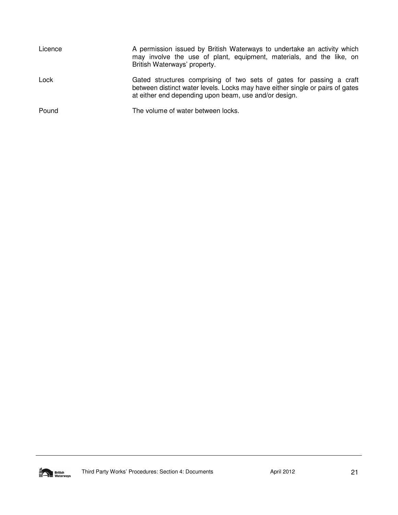| Licence | A permission issued by British Waterways to undertake an activity which<br>may involve the use of plant, equipment, materials, and the like, on<br>British Waterways' property.                                |
|---------|----------------------------------------------------------------------------------------------------------------------------------------------------------------------------------------------------------------|
| Lock    | Gated structures comprising of two sets of gates for passing a craft<br>between distinct water levels. Locks may have either single or pairs of gates<br>at either end depending upon beam, use and/or design. |
| Pound   | The volume of water between locks.                                                                                                                                                                             |

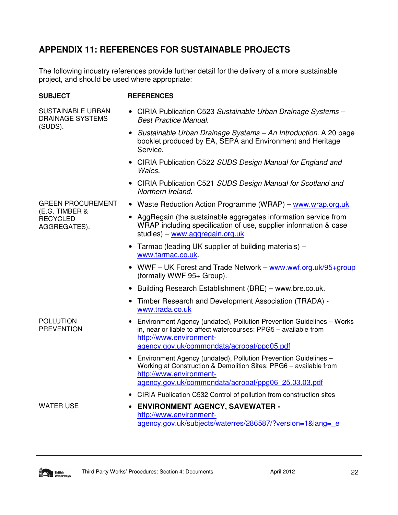# **APPENDIX 11: REFERENCES FOR SUSTAINABLE PROJECTS**

The following industry references provide further detail for the delivery of a more sustainable project, and should be used where appropriate:

### **SUBJECT REFERENCES**

SUSTAINABLE URBAN DRAINAGE SYSTEMS (SUDS).

- CIRIA Publication C523 Sustainable Urban Drainage Systems -Best Practice Manual.
- Sustainable Urban Drainage Systems An Introduction. A 20 page booklet produced by EA, SEPA and Environment and Heritage Service.
- CIRIA Publication C522 SUDS Design Manual for England and Wales.
- CIRIA Publication C521 SUDS Design Manual for Scotland and Northern Ireland.

GREEN PROCUREMENT (E.G. TIMBER & **RECYCLED** AGGREGATES).

- Waste Reduction Action Programme (WRAP) www.wrap.org.uk
- AggRegain (the sustainable aggregates information service from WRAP including specification of use, supplier information & case studies) – www.aggregain.org.uk
- Tarmac (leading UK supplier of building materials) www.tarmac.co.uk.
- WWF UK Forest and Trade Network www.wwf.org.uk/95+group (formally WWF 95+ Group).
- Building Research Establishment (BRE) www.bre.co.uk.
- Timber Research and Development Association (TRADA) www.trada.co.uk
- Environment Agency (undated), Pollution Prevention Guidelines Works in, near or liable to affect watercourses: PPG5 – available from http://www.environmentagency.gov.uk/commondata/acrobat/ppg05.pdf
- Environment Agency (undated), Pollution Prevention Guidelines Working at Construction & Demolition Sites: PPG6 – available from http://www.environmentagency.gov.uk/commondata/acrobat/ppg06\_25.03.03.pdf
- CIRIA Publication C532 Control of pollution from construction sites

POLLUTION PREVENTION

WATER USE **• ENVIRONMENT AGENCY, SAVEWATER** http://www.environmentagency.gov.uk/subjects/waterres/286587/?version=1&lang=\_e

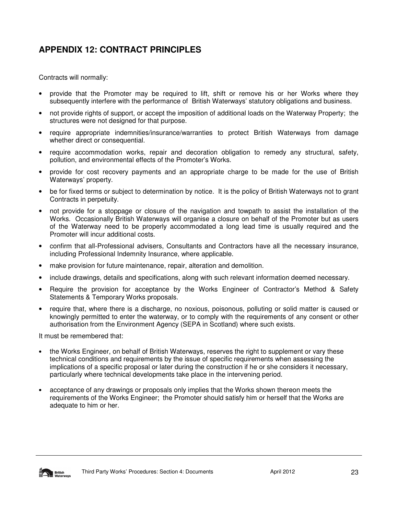# **APPENDIX 12: CONTRACT PRINCIPLES**

Contracts will normally:

- provide that the Promoter may be required to lift, shift or remove his or her Works where they subsequently interfere with the performance of British Waterways' statutory obligations and business.
- not provide rights of support, or accept the imposition of additional loads on the Waterway Property; the structures were not designed for that purpose.
- require appropriate indemnities/insurance/warranties to protect British Waterways from damage whether direct or consequential.
- require accommodation works, repair and decoration obligation to remedy any structural, safety, pollution, and environmental effects of the Promoter's Works.
- provide for cost recovery payments and an appropriate charge to be made for the use of British Waterways' property.
- be for fixed terms or subject to determination by notice. It is the policy of British Waterways not to grant Contracts in perpetuity.
- not provide for a stoppage or closure of the navigation and towpath to assist the installation of the Works. Occasionally British Waterways will organise a closure on behalf of the Promoter but as users of the Waterway need to be properly accommodated a long lead time is usually required and the Promoter will incur additional costs.
- confirm that all-Professional advisers, Consultants and Contractors have all the necessary insurance, including Professional Indemnity Insurance, where applicable.
- make provision for future maintenance, repair, alteration and demolition.
- include drawings, details and specifications, along with such relevant information deemed necessary.
- Require the provision for acceptance by the Works Engineer of Contractor's Method & Safety Statements & Temporary Works proposals.
- require that, where there is a discharge, no noxious, poisonous, polluting or solid matter is caused or knowingly permitted to enter the waterway, or to comply with the requirements of any consent or other authorisation from the Environment Agency (SEPA in Scotland) where such exists.

It must be remembered that:

- the Works Engineer, on behalf of British Waterways, reserves the right to supplement or vary these technical conditions and requirements by the issue of specific requirements when assessing the implications of a specific proposal or later during the construction if he or she considers it necessary, particularly where technical developments take place in the intervening period.
- acceptance of any drawings or proposals only implies that the Works shown thereon meets the requirements of the Works Engineer; the Promoter should satisfy him or herself that the Works are adequate to him or her.

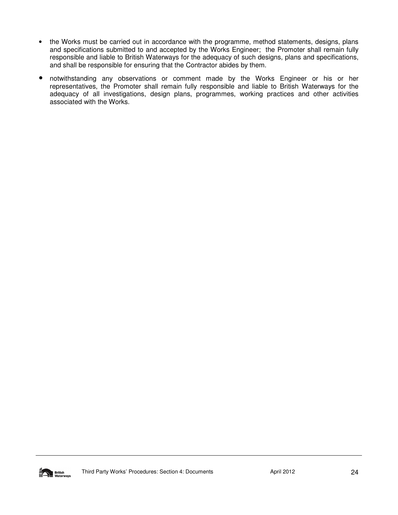- the Works must be carried out in accordance with the programme, method statements, designs, plans and specifications submitted to and accepted by the Works Engineer; the Promoter shall remain fully responsible and liable to British Waterways for the adequacy of such designs, plans and specifications, and shall be responsible for ensuring that the Contractor abides by them.
- notwithstanding any observations or comment made by the Works Engineer or his or her representatives, the Promoter shall remain fully responsible and liable to British Waterways for the adequacy of all investigations, design plans, programmes, working practices and other activities associated with the Works.

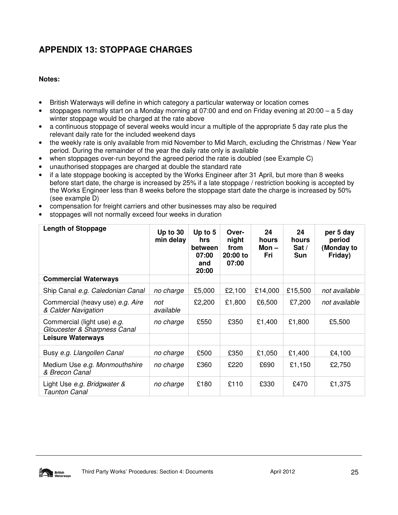# **APPENDIX 13: STOPPAGE CHARGES**

# **Notes:**

- British Waterways will define in which category a particular waterway or location comes
- stoppages normally start on a Monday morning at 07:00 and end on Friday evening at 20:00 a 5 day winter stoppage would be charged at the rate above
- a continuous stoppage of several weeks would incur a multiple of the appropriate 5 day rate plus the relevant daily rate for the included weekend days
- the weekly rate is only available from mid November to Mid March, excluding the Christmas / New Year period. During the remainder of the year the daily rate only is available
- when stoppages over-run beyond the agreed period the rate is doubled (see Example C)
- unauthorised stoppages are charged at double the standard rate
- if a late stoppage booking is accepted by the Works Engineer after 31 April, but more than 8 weeks before start date, the charge is increased by 25% if a late stoppage / restriction booking is accepted by the Works Engineer less than 8 weeks before the stoppage start date the charge is increased by 50% (see example D)
- compensation for freight carriers and other businesses may also be required
- stoppages will not normally exceed four weeks in duration

| <b>Length of Stoppage</b>                                   | Up to $30$<br>min delay | Up to 5<br><b>hrs</b><br><b>between</b><br>07:00<br>and<br>20:00 | Over-<br>night<br>from<br>$20:00$ to<br>07:00 | 24<br>hours<br>Mon –<br>Fri | 24<br>hours<br>Sat $/$<br><b>Sun</b> | per 5 day<br>period<br>(Monday to<br>Friday) |
|-------------------------------------------------------------|-------------------------|------------------------------------------------------------------|-----------------------------------------------|-----------------------------|--------------------------------------|----------------------------------------------|
| <b>Commercial Waterways</b>                                 |                         |                                                                  |                                               |                             |                                      |                                              |
| Ship Canal e.g. Caledonian Canal                            | no charge               | £5,000                                                           | £2,100                                        | £14,000                     | £15,500                              | not available                                |
| Commercial (heavy use) e.g. Aire<br>& Calder Navigation     | not<br>available        | £2,200                                                           | £1,800                                        | £6,500                      | £7,200                               | not available                                |
| Commercial (light use) e.g.<br>Gloucester & Sharpness Canal | no charge               | £550                                                             | £350                                          | £1,400                      | £1,800                               | £5,500                                       |
| <b>Leisure Waterways</b>                                    |                         |                                                                  |                                               |                             |                                      |                                              |
| Busy e.g. Llangollen Canal                                  | no charge               | £500                                                             | £350                                          | £1,050                      | £1,400                               | £4,100                                       |
| Medium Use e.g. Monmouthshire<br>& Brecon Canal             | no charge               | £360                                                             | £220                                          | £690                        | £1,150                               | £2,750                                       |
| Light Use e.g. Bridgwater &<br>Taunton Canal                | no charge               | £180                                                             | £110                                          | £330                        | £470                                 | £1,375                                       |

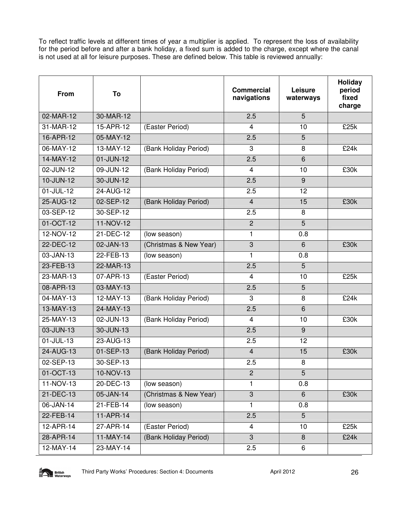To reflect traffic levels at different times of year a multiplier is applied. To represent the loss of availability for the period before and after a bank holiday, a fixed sum is added to the charge, except where the canal is not used at all for leisure purposes. These are defined below. This table is reviewed annually:

| <b>From</b> | To        |                        | <b>Commercial</b><br>navigations | <b>Leisure</b><br>waterways | Holiday<br>period<br>fixed<br>charge |
|-------------|-----------|------------------------|----------------------------------|-----------------------------|--------------------------------------|
| 02-MAR-12   | 30-MAR-12 |                        | 2.5                              | 5                           |                                      |
| 31-MAR-12   | 15-APR-12 | (Easter Period)        | 4                                | 10                          | £25k                                 |
| 16-APR-12   | 05-MAY-12 |                        | 2.5                              | $\overline{5}$              |                                      |
| 06-MAY-12   | 13-MAY-12 | (Bank Holiday Period)  | 3                                | 8                           | £24k                                 |
| 14-MAY-12   | 01-JUN-12 |                        | 2.5                              | $6\phantom{1}$              |                                      |
| 02-JUN-12   | 09-JUN-12 | (Bank Holiday Period)  | 4                                | 10                          | £30k                                 |
| 10-JUN-12   | 30-JUN-12 |                        | 2.5                              | 9                           |                                      |
| 01-JUL-12   | 24-AUG-12 |                        | 2.5                              | 12                          |                                      |
| 25-AUG-12   | 02-SEP-12 | (Bank Holiday Period)  | $\overline{4}$                   | 15                          | £30k                                 |
| 03-SEP-12   | 30-SEP-12 |                        | 2.5                              | 8                           |                                      |
| 01-OCT-12   | 11-NOV-12 |                        | $\overline{2}$                   | $\overline{5}$              |                                      |
| 12-NOV-12   | 21-DEC-12 | (low season)           | 1                                | 0.8                         |                                      |
| 22-DEC-12   | 02-JAN-13 | (Christmas & New Year) | 3                                | 6                           | £30k                                 |
| 03-JAN-13   | 22-FEB-13 | (low season)           | 1                                | 0.8                         |                                      |
| 23-FEB-13   | 22-MAR-13 |                        | 2.5                              | $\overline{5}$              |                                      |
| 23-MAR-13   | 07-APR-13 | (Easter Period)        | 4                                | 10                          | £25k                                 |
| 08-APR-13   | 03-MAY-13 |                        | 2.5                              | 5                           |                                      |
| 04-MAY-13   | 12-MAY-13 | (Bank Holiday Period)  | 3                                | 8                           | £24k                                 |
| 13-MAY-13   | 24-MAY-13 |                        | 2.5                              | 6                           |                                      |
| 25-MAY-13   | 02-JUN-13 | (Bank Holiday Period)  | 4                                | 10                          | £30k                                 |
| 03-JUN-13   | 30-JUN-13 |                        | 2.5                              | 9                           |                                      |
| 01-JUL-13   | 23-AUG-13 |                        | 2.5                              | 12                          |                                      |
| 24-AUG-13   | 01-SEP-13 | (Bank Holiday Period)  | $\overline{4}$                   | 15                          | £30k                                 |
| 02-SEP-13   | 30-SEP-13 |                        | 2.5                              | 8                           |                                      |
| 01-OCT-13   | 10-NOV-13 |                        | $\overline{2}$                   | 5                           |                                      |
| 11-NOV-13   | 20-DEC-13 | (low season)           | 1                                | 0.8                         |                                      |
| 21-DEC-13   | 05-JAN-14 | (Christmas & New Year) | 3                                | $6\phantom{1}$              | £30k                                 |
| 06-JAN-14   | 21-FEB-14 | (low season)           | 1                                | 0.8                         |                                      |
| 22-FEB-14   | 11-APR-14 |                        | 2.5                              | $\overline{5}$              |                                      |
| 12-APR-14   | 27-APR-14 | (Easter Period)        | 4                                | 10                          | £25k                                 |
| 28-APR-14   | 11-MAY-14 | (Bank Holiday Period)  | 3                                | 8                           | £24k                                 |
| 12-MAY-14   | 23-MAY-14 |                        | 2.5                              | 6                           |                                      |

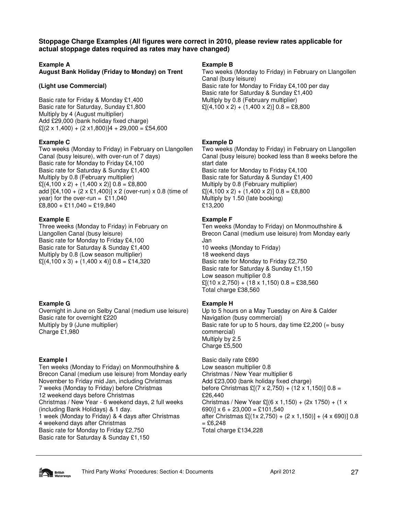**Stoppage Charge Examples (All figures were correct in 2010, please review rates applicable for actual stoppage dates required as rates may have changed)** 

#### **Example A**

**August Bank Holiday (Friday to Monday) on Trent** 

#### **(Light use Commercial)**

Basic rate for Friday & Monday £1,400 Basic rate for Saturday, Sunday £1,800 Multiply by 4 (August multiplier) Add £29,000 (bank holiday fixed charge)  $E[(2 \times 1,400) + (2 \times 1,800)]4 + 29,000 = £54,600$ 

#### **Example C**

Two weeks (Monday to Friday) in February on Llangollen Canal (busy leisure), with over-run of 7 days) Basic rate for Monday to Friday £4,100 Basic rate for Saturday & Sunday £1,400 Multiply by 0.8 (February multiplier)  $E[(4,100 \times 2) + (1,400 \times 2)]$  0.8 = £8,800 add  $[£4,100 + (2 \times £1,400)] \times 2$  (over-run) x 0.8 (time of year) for the over-run =  $£11,040$  $£8,800 + £11,040 = £19,840$ 

# **Example E**

Three weeks (Monday to Friday) in February on Llangollen Canal (busy leisure) Basic rate for Monday to Friday £4,100 Basic rate for Saturday & Sunday £1,400 Multiply by 0.8 (Low season multiplier)  $\mathcal{L}[(4,100 \times 3) + (1,400 \times 4)]$  0.8 = £14,320

# **Example G**

Overnight in June on Selby Canal (medium use leisure) Basic rate for overnight £220 Multiply by 9 (June multiplier) Charge £1,980

# **Example I**

Ten weeks (Monday to Friday) on Monmouthshire & Brecon Canal (medium use leisure) from Monday early November to Friday mid Jan, including Christmas 7 weeks (Monday to Friday) before Christmas 12 weekend days before Christmas Christmas / New Year - 6 weekend days, 2 full weeks (including Bank Holidays) & 1 day. 1 week (Monday to Friday) & 4 days after Christmas 4 weekend days after Christmas Basic rate for Monday to Friday £2,750 Basic rate for Saturday & Sunday £1,150

### **Example B**

Two weeks (Monday to Friday) in February on Llangollen Canal (busy leisure) Basic rate for Monday to Friday £4,100 per day Basic rate for Saturday & Sunday £1,400 Multiply by 0.8 (February multiplier)  $E[(4,100 \times 2) + (1,400 \times 2)]$  0.8 = £8,800

# **Example D**

Two weeks (Monday to Friday) in February on Llangollen Canal (busy leisure) booked less than 8 weeks before the start date Basic rate for Monday to Friday £4,100 Basic rate for Saturday & Sunday £1,400 Multiply by 0.8 (February multiplier)  $\mathcal{L}[(4,100 \times 2) + (1,400 \times 2)]$  0.8 = £8,800 Multiply by 1.50 (late booking) £13,200

# **Example F**

Ten weeks (Monday to Friday) on Monmouthshire & Brecon Canal (medium use leisure) from Monday early Jan 10 weeks (Monday to Friday) 18 weekend days Basic rate for Monday to Friday £2,750 Basic rate for Saturday & Sunday £1,150 Low season multiplier 0.8  $E[(10 \times 2,750) + (18 \times 1,150) 0.8 = \text{\textsterling}38,560]$ Total charge £38,560

# **Example H**

Up to 5 hours on a May Tuesday on Aire & Calder Navigation (busy commercial) Basic rate for up to 5 hours, day time  $£2,200 (=$  busy commercial) Multiply by 2.5 Charge £5,500

Basic daily rate £690 Low season multiplier 0.8 Christmas / New Year multiplier 6 Add £23,000 (bank holiday fixed charge) before Christmas  $£[(7 \times 2,750) + (12 \times 1,150)]$  0.8 = £26,440 Christmas / New Year £ $[(6 \times 1, 150) + (2 \times 1750) + (1 \times$ 690)]  $x 6 + 23,000 = £101,540$ after Christmas £[(1x 2,750) + (2 x 1,150)] + (4 x 690)] 0.8  $=$  £6,248 Total charge £134,228

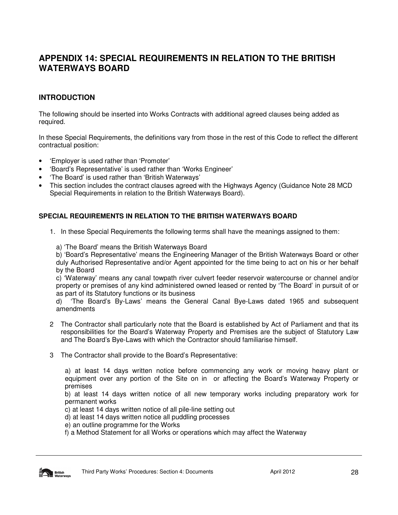# **APPENDIX 14: SPECIAL REQUIREMENTS IN RELATION TO THE BRITISH WATERWAYS BOARD**

# **INTRODUCTION**

The following should be inserted into Works Contracts with additional agreed clauses being added as required.

In these Special Requirements, the definitions vary from those in the rest of this Code to reflect the different contractual position:

- 'Employer is used rather than 'Promoter'
- 'Board's Representative' is used rather than 'Works Engineer'
- 'The Board' is used rather than 'British Waterways'
- This section includes the contract clauses agreed with the Highways Agency (Guidance Note 28 MCD Special Requirements in relation to the British Waterways Board).

# **SPECIAL REQUIREMENTS IN RELATION TO THE BRITISH WATERWAYS BOARD**

- 1. In these Special Requirements the following terms shall have the meanings assigned to them:
	- a) 'The Board' means the British Waterways Board

b) 'Board's Representative' means the Engineering Manager of the British Waterways Board or other duly Authorised Representative and/or Agent appointed for the time being to act on his or her behalf by the Board

c) 'Waterway' means any canal towpath river culvert feeder reservoir watercourse or channel and/or property or premises of any kind administered owned leased or rented by 'The Board' in pursuit of or as part of its Statutory functions or its business

d) 'The Board's By-Laws' means the General Canal Bye-Laws dated 1965 and subsequent amendments

- 2 The Contractor shall particularly note that the Board is established by Act of Parliament and that its responsibilities for the Board's Waterway Property and Premises are the subject of Statutory Law and The Board's Bye-Laws with which the Contractor should familiarise himself.
- 3 The Contractor shall provide to the Board's Representative:

a) at least 14 days written notice before commencing any work or moving heavy plant or equipment over any portion of the Site on in or affecting the Board's Waterway Property or premises

b) at least 14 days written notice of all new temporary works including preparatory work for permanent works

c) at least 14 days written notice of all pile-line setting out

- d) at least 14 days written notice all puddling processes
- e) an outline programme for the Works
- f) a Method Statement for all Works or operations which may affect the Waterway

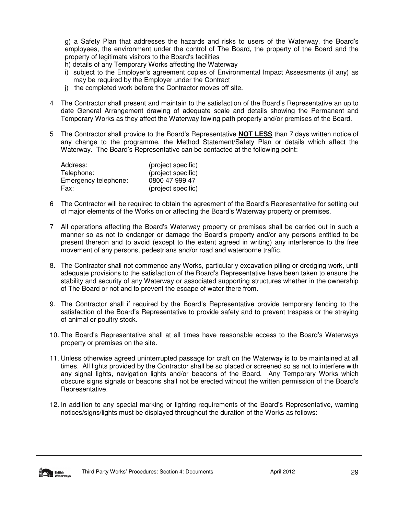g) a Safety Plan that addresses the hazards and risks to users of the Waterway, the Board's employees, the environment under the control of The Board, the property of the Board and the property of legitimate visitors to the Board's facilities

h) details of any Temporary Works affecting the Waterway

- i) subject to the Employer's agreement copies of Environmental Impact Assessments (if any) as may be required by the Employer under the Contract
- j) the completed work before the Contractor moves off site.
- 4 The Contractor shall present and maintain to the satisfaction of the Board's Representative an up to date General Arrangement drawing of adequate scale and details showing the Permanent and Temporary Works as they affect the Waterway towing path property and/or premises of the Board.
- 5 The Contractor shall provide to the Board's Representative **NOT LESS** than 7 days written notice of any change to the programme, the Method Statement/Safety Plan or details which affect the Waterway. The Board's Representative can be contacted at the following point:

| Address:             | (project specific) |
|----------------------|--------------------|
| Telephone:           | (project specific) |
| Emergency telephone: | 0800 47 999 47     |
| Fax:                 | (project specific) |

- 6 The Contractor will be required to obtain the agreement of the Board's Representative for setting out of major elements of the Works on or affecting the Board's Waterway property or premises.
- 7 All operations affecting the Board's Waterway property or premises shall be carried out in such a manner so as not to endanger or damage the Board's property and/or any persons entitled to be present thereon and to avoid (except to the extent agreed in writing) any interference to the free movement of any persons, pedestrians and/or road and waterborne traffic.
- 8. The Contractor shall not commence any Works, particularly excavation piling or dredging work, until adequate provisions to the satisfaction of the Board's Representative have been taken to ensure the stability and security of any Waterway or associated supporting structures whether in the ownership of The Board or not and to prevent the escape of water there from.
- 9. The Contractor shall if required by the Board's Representative provide temporary fencing to the satisfaction of the Board's Representative to provide safety and to prevent trespass or the straying of animal or poultry stock.
- 10. The Board's Representative shall at all times have reasonable access to the Board's Waterways property or premises on the site.
- 11. Unless otherwise agreed uninterrupted passage for craft on the Waterway is to be maintained at all times. All lights provided by the Contractor shall be so placed or screened so as not to interfere with any signal lights, navigation lights and/or beacons of the Board. Any Temporary Works which obscure signs signals or beacons shall not be erected without the written permission of the Board's Representative.
- 12. In addition to any special marking or lighting requirements of the Board's Representative, warning notices/signs/lights must be displayed throughout the duration of the Works as follows:

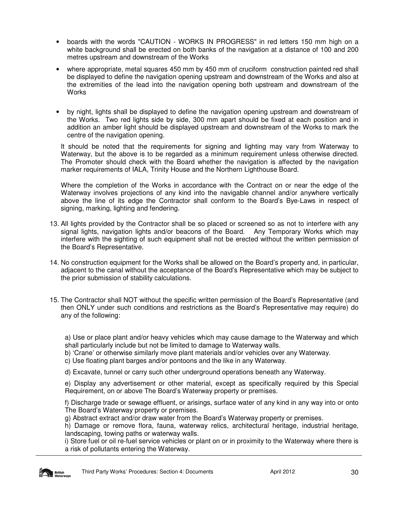- boards with the words "CAUTION WORKS IN PROGRESS" in red letters 150 mm high on a white background shall be erected on both banks of the navigation at a distance of 100 and 200 metres upstream and downstream of the Works
- where appropriate, metal squares 450 mm by 450 mm of cruciform construction painted red shall be displayed to define the navigation opening upstream and downstream of the Works and also at the extremities of the lead into the navigation opening both upstream and downstream of the **Works**
- by night, lights shall be displayed to define the navigation opening upstream and downstream of the Works. Two red lights side by side, 300 mm apart should be fixed at each position and in addition an amber light should be displayed upstream and downstream of the Works to mark the centre of the navigation opening.

It should be noted that the requirements for signing and lighting may vary from Waterway to Waterway, but the above is to be regarded as a minimum requirement unless otherwise directed. The Promoter should check with the Board whether the navigation is affected by the navigation marker requirements of IALA, Trinity House and the Northern Lighthouse Board.

Where the completion of the Works in accordance with the Contract on or near the edge of the Waterway involves projections of any kind into the navigable channel and/or anywhere vertically above the line of its edge the Contractor shall conform to the Board's Bye-Laws in respect of signing, marking, lighting and fendering.

- 13. All lights provided by the Contractor shall be so placed or screened so as not to interfere with any signal lights, navigation lights and/or beacons of the Board. Any Temporary Works which may interfere with the sighting of such equipment shall not be erected without the written permission of the Board's Representative.
- 14. No construction equipment for the Works shall be allowed on the Board's property and, in particular, adjacent to the canal without the acceptance of the Board's Representative which may be subject to the prior submission of stability calculations.
- 15. The Contractor shall NOT without the specific written permission of the Board's Representative (and then ONLY under such conditions and restrictions as the Board's Representative may require) do any of the following:

 a) Use or place plant and/or heavy vehicles which may cause damage to the Waterway and which shall particularly include but not be limited to damage to Waterway walls.

- b) 'Crane' or otherwise similarly move plant materials and/or vehicles over any Waterway.
- c) Use floating plant barges and/or pontoons and the like in any Waterway.
- d) Excavate, tunnel or carry such other underground operations beneath any Waterway.

 e) Display any advertisement or other material, except as specifically required by this Special Requirement, on or above The Board's Waterway property or premises.

 f) Discharge trade or sewage effluent, or arisings, surface water of any kind in any way into or onto The Board's Waterway property or premises.

g) Abstract extract and/or draw water from the Board's Waterway property or premises.

 h) Damage or remove flora, fauna, waterway relics, architectural heritage, industrial heritage, landscaping, towing paths or waterway walls.

 i) Store fuel or oil re-fuel service vehicles or plant on or in proximity to the Waterway where there is a risk of pollutants entering the Waterway.

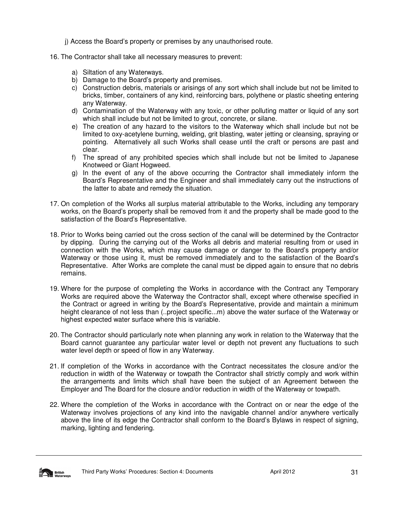j) Access the Board's property or premises by any unauthorised route.

- 16. The Contractor shall take all necessary measures to prevent:
	- a) Siltation of any Waterways.
	- b) Damage to the Board's property and premises.
	- c) Construction debris, materials or arisings of any sort which shall include but not be limited to bricks, timber, containers of any kind, reinforcing bars, polythene or plastic sheeting entering any Waterway.
	- d) Contamination of the Waterway with any toxic, or other polluting matter or liquid of any sort which shall include but not be limited to grout, concrete, or silane.
	- e) The creation of any hazard to the visitors to the Waterway which shall include but not be limited to oxy-acetylene burning, welding, grit blasting, water jetting or cleansing, spraying or pointing. Alternatively all such Works shall cease until the craft or persons are past and clear.
	- f) The spread of any prohibited species which shall include but not be limited to Japanese Knotweed or Giant Hogweed.
	- g) In the event of any of the above occurring the Contractor shall immediately inform the Board's Representative and the Engineer and shall immediately carry out the instructions of the latter to abate and remedy the situation.
- 17. On completion of the Works all surplus material attributable to the Works, including any temporary works, on the Board's property shall be removed from it and the property shall be made good to the satisfaction of the Board's Representative.
- 18. Prior to Works being carried out the cross section of the canal will be determined by the Contractor by dipping. During the carrying out of the Works all debris and material resulting from or used in connection with the Works, which may cause damage or danger to the Board's property and/or Waterway or those using it, must be removed immediately and to the satisfaction of the Board's Representative. After Works are complete the canal must be dipped again to ensure that no debris remains.
- 19. Where for the purpose of completing the Works in accordance with the Contract any Temporary Works are required above the Waterway the Contractor shall, except where otherwise specified in the Contract or agreed in writing by the Board's Representative, provide and maintain a minimum height clearance of not less than (..project specific...m) above the water surface of the Waterway or highest expected water surface where this is variable.
- 20. The Contractor should particularly note when planning any work in relation to the Waterway that the Board cannot guarantee any particular water level or depth not prevent any fluctuations to such water level depth or speed of flow in any Waterway.
- 21. If completion of the Works in accordance with the Contract necessitates the closure and/or the reduction in width of the Waterway or towpath the Contractor shall strictly comply and work within the arrangements and limits which shall have been the subject of an Agreement between the Employer and The Board for the closure and/or reduction in width of the Waterway or towpath.
- 22. Where the completion of the Works in accordance with the Contract on or near the edge of the Waterway involves projections of any kind into the navigable channel and/or anywhere vertically above the line of its edge the Contractor shall conform to the Board's Bylaws in respect of signing, marking, lighting and fendering.

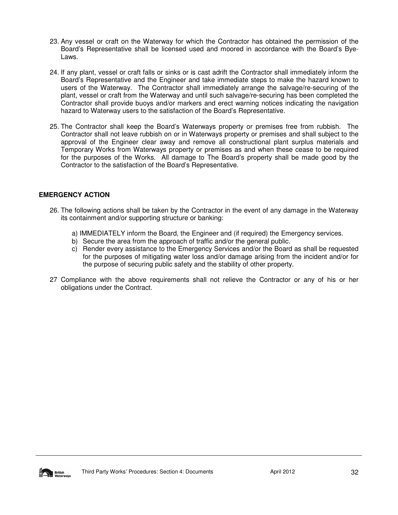- 23. Any vessel or craft on the Waterway for which the Contractor has obtained the permission of the Board's Representative shall be licensed used and moored in accordance with the Board's Bye-Laws.
- 24. If any plant, vessel or craft falls or sinks or is cast adrift the Contractor shall immediately inform the Board's Representative and the Engineer and take immediate steps to make the hazard known to users of the Waterway. The Contractor shall immediately arrange the salvage/re-securing of the plant, vessel or craft from the Waterway and until such salvage/re-securing has been completed the Contractor shall provide buoys and/or markers and erect warning notices indicating the navigation hazard to Waterway users to the satisfaction of the Board's Representative.
- 25. The Contractor shall keep the Board's Waterways property or premises free from rubbish. The Contractor shall not leave rubbish on or in Waterways property or premises and shall subject to the approval of the Engineer clear away and remove all constructional plant surplus materials and Temporary Works from Waterways property or premises as and when these cease to be required for the purposes of the Works. All damage to The Board's property shall be made good by the Contractor to the satisfaction of the Board's Representative.

# **EMERGENCY ACTION**

- 26. The following actions shall be taken by the Contractor in the event of any damage in the Waterway its containment and/or supporting structure or banking:
	- a) IMMEDIATELY inform the Board, the Engineer and (if required) the Emergency services.
	- b) Secure the area from the approach of traffic and/or the general public.
	- c) Render every assistance to the Emergency Services and/or the Board as shall be requested for the purposes of mitigating water loss and/or damage arising from the incident and/or for the purpose of securing public safety and the stability of other property.
- 27 Compliance with the above requirements shall not relieve the Contractor or any of his or her obligations under the Contract.

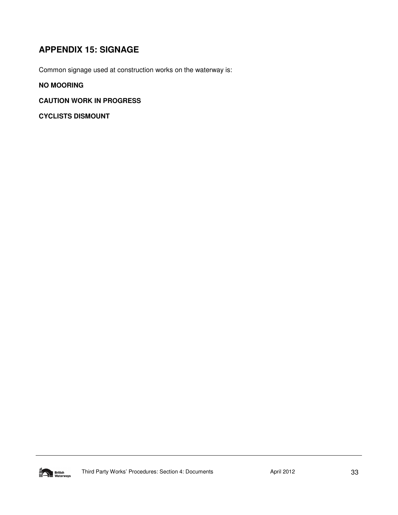# **APPENDIX 15: SIGNAGE**

Common signage used at construction works on the waterway is:

# **NO MOORING**

# **CAUTION WORK IN PROGRESS**

**CYCLISTS DISMOUNT**

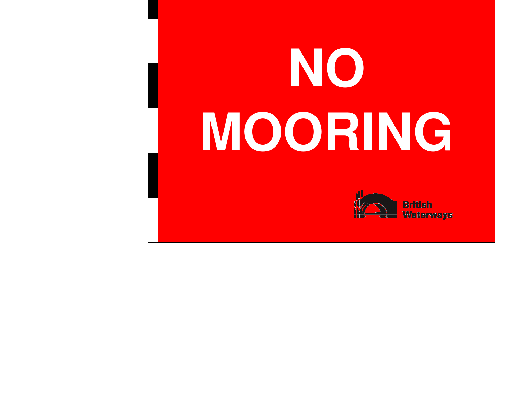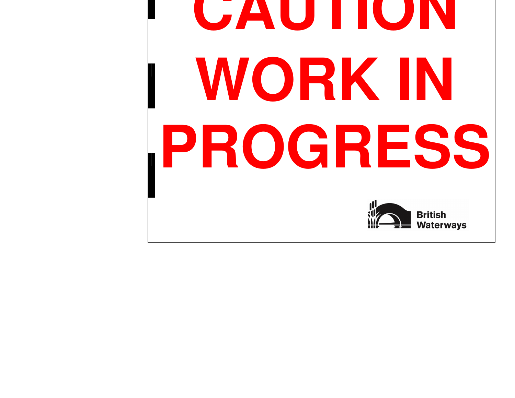# **CAUTIONWORK IN PROGRESS**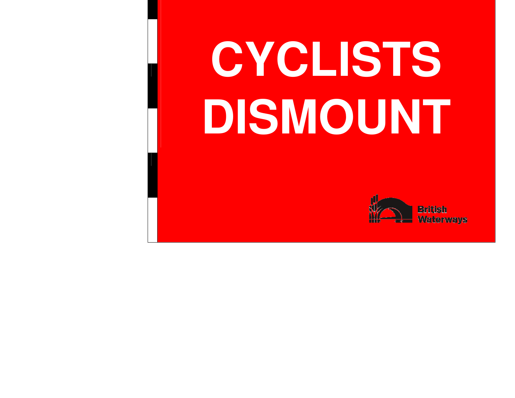# **CYCLISTS DISMOUNT**

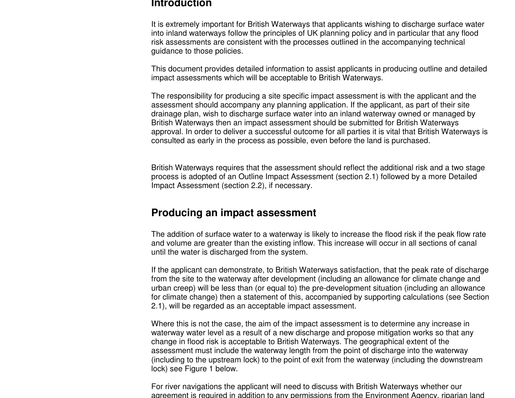# **Introduction**

It is extremely important for British Waterways that applicants wishing to discharge surface water into inland waterways follow the principles of UK planning policy and in particular that any flood risk assessments are consistent with the processes outlined in the accompanying technical guidance to those policies.

This document provides detailed information to assist applicants in producing outline and detailed impact assessments which will be acceptable to British Waterways.

The responsibility for producing a site specific impact assessment is with the applicant and the assessment should accompany any planning application. If the applicant, as part of their site drainage plan, wish to discharge surface water into an inland waterway owned or managed by British Waterways then an impact assessment should be submitted for British Waterways approval. In order to deliver a successful outcome for all parties it is vital that British Waterways is consulted as early in the process as possible, even before the land is purchased.

British Waterways requires that the assessment should reflect the additional risk and a two stage process is adopted of an Outline Impact Assessment (section 2.1) followed by a more Detailed Impact Assessment (section 2.2), if necessary.

# **Producing an impact assessment**

The addition of surface water to a waterway is likely to increase the flood risk if the peak flow rateand volume are greater than the existing inflow. This increase will occur in all sections of canal until the water is discharged from the system.

If the applicant can demonstrate, to British Waterways satisfaction, that the peak rate of discharge from the site to the waterway after development (including an allowance for climate change and urban creep) will be less than (or equal to) the pre-development situation (including an allowance for climate change) then a statement of this, accompanied by supporting calculations (see Section 2.1), will be regarded as an acceptable impact assessment.

Where this is not the case, the aim of the impact assessment is to determine any increase in waterway water level as a result of a new discharge and propose mitigation works so that any change in flood risk is acceptable to British Waterways. The geographical extent of the assessment must include the waterway length from the point of discharge into the waterway (including to the upstream lock) to the point of exit from the waterway (including the downstream lock) see Figure 1 below.

For river navigations the applicant will need to discuss with British Waterways whether our agreement is required in addition to any permissions from the Environment Agency, riparian land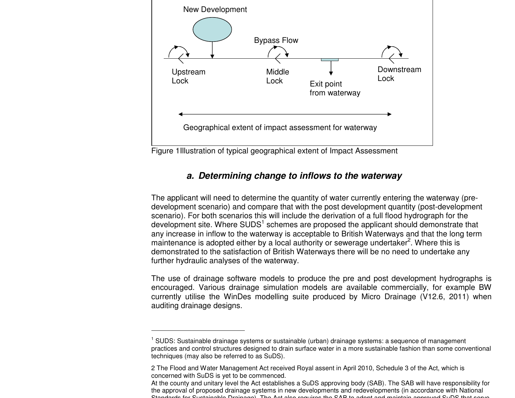

Figure 1Illustration of typical geographical extent of Impact Assessment

# **a. Determining change to inflows to the waterway**

The applicant will need to determine the quantity of water currently entering the waterway (predevelopment scenario) and compare that with the post development quantity (post-development scenario). For both scenarios this will include the derivation of a full flood hydrograph for the development site. Where SUDS<sup>1</sup> schemes are proposed the applicant should demonstrate that any increase in inflow to the waterway is acceptable to British Waterways and that the long term maintenance is adopted either by a local authority or sewerage undertaker<sup>2</sup>. Where this is demonstrated to the satisfaction of British Waterways there will be no need to undertake any further hydraulic analyses of the waterway.

The use of drainage software models to produce the pre and post development hydrographs is encouraged. Various drainage simulation models are available commercially, for example BW currently utilise the WinDes modelling suite produced by Micro Drainage (V12.6, 2011) when auditing drainage designs.

<sup>1</sup> SUDS: Sustainable drainage systems or sustainable (urban) drainage systems: a sequence of management practices and control structures designed to drain surface water in a more sustainable fashion than some conventional techniques (may also be referred to as SuDS).

<sup>2</sup> The Flood and Water Management Act received Royal assent in April 2010, Schedule 3 of the Act, which is concerned with SuDS is yet to be commenced.

At the county and unitary level the Act establishes a SuDS approving body (SAB). The SAB will have responsibility for the approval of proposed drainage systems in new developments and redevelopments (in accordance with National Standards for Sustainable Drainage). The Act also requires the SAB to adopt and maintain approved SuDS that serve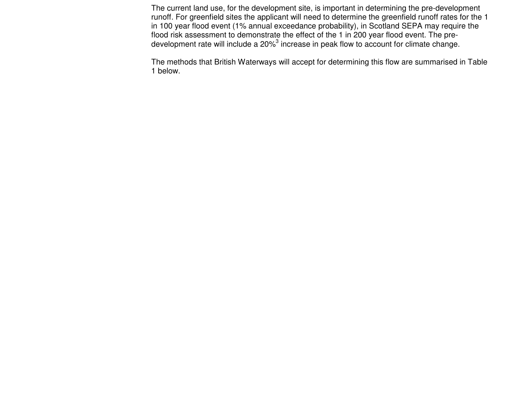The current land use, for the development site, is important in determining the pre-development runoff. For greenfield sites the applicant will need to determine the greenfield runoff rates for the 1 in 100 year flood event (1% annual exceedance probability), in Scotland SEPA may require the flood risk assessment to demonstrate the effect of the 1 in 200 year flood event. The predevelopment rate will include a 20% $^3$  increase in peak flow to account for climate change.

The methods that British Waterways will accept for determining this flow are summarised in Table 1 below.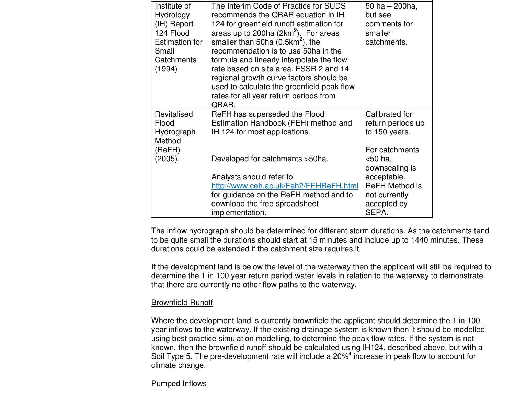| Institute of<br>Hydrology<br>(IH) Report                  | The Interim Code of Practice for SUDS<br>recommends the QBAR equation in IH<br>124 for greenfield runoff estimation for                                                            | 50 ha $-$ 200 ha,<br>but see<br>comments for                                  |
|-----------------------------------------------------------|------------------------------------------------------------------------------------------------------------------------------------------------------------------------------------|-------------------------------------------------------------------------------|
| 124 Flood<br><b>Estimation for</b><br>Small<br>Catchments | areas up to 200ha $(2km^2)$ . For areas<br>smaller than 50ha $(0.5km^2)$ , the<br>recommendation is to use 50ha in the<br>formula and linearly interpolate the flow                | smaller<br>catchments.                                                        |
| (1994)                                                    | rate based on site area. FSSR 2 and 14<br>regional growth curve factors should be<br>used to calculate the greenfield peak flow<br>rates for all year return periods from<br>QBAR. |                                                                               |
| Revitalised<br>Flood<br>Hydrograph<br>Method              | ReFH has superseded the Flood<br>Estimation Handbook (FEH) method and<br>IH 124 for most applications.                                                                             | Calibrated for<br>return periods up<br>to 150 years.                          |
| (ReFH)<br>(2005).                                         | Developed for catchments > 50 ha.                                                                                                                                                  | For catchments<br>$<$ 50 ha,<br>downscaling is                                |
|                                                           | Analysts should refer to<br>http://www.ceh.ac.uk/Feh2/FEHReFH.html<br>for guidance on the ReFH method and to<br>download the free spreadsheet<br>implementation.                   | acceptable.<br><b>ReFH Method is</b><br>not currently<br>accepted by<br>SEPA. |

The inflow hydrograph should be determined for different storm durations. As the catchments tend to be quite small the durations should start at 15 minutes and include up to 1440 minutes. These durations could be extended if the catchment size requires it.

If the development land is below the level of the waterway then the applicant will still be required to determine the 1 in 100 year return period water levels in relation to the waterway to demonstrate that there are currently no other flow paths to the waterway.

# Brownfield Runoff

Where the development land is currently brownfield the applicant should determine the 1 in 100 year inflows to the waterway. If the existing drainage system is known then it should be modelled using best practice simulation modelling, to determine the peak flow rates. If the system is not known, then the brownfield runoff should be calculated using IH124, described above, but with a Soil Type 5. The pre-development rate will include a 20%<sup>4</sup> increase in peak flow to account for climate change.

# Pumped Inflows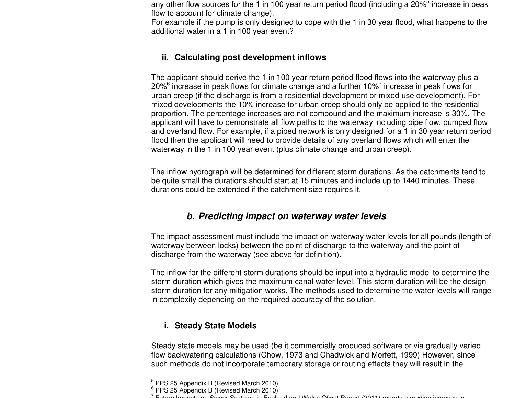any other flow sources for the 1 in 100 year return period flood (including a 20% $^5$  increase in peak flow to account for climate change).

 For example if the pump is only designed to cope with the 1 in 30 year flood, what happens to the additional water in a 1 in 100 year event?

# **ii. Calculating post development inflows**

The applicant should derive the 1 in 100 year return period flood flows into the waterway plus a 20% $^6$  increase in peak flows for climate change and a further 10% $^7$  increase in peak flows for urban creep (if the discharge is from a residential development or mixed use development). For mixed developments the 10% increase for urban creep should only be applied to the residential proportion. The percentage increases are not compound and the maximum increase is 30%. The applicant will have to demonstrate all flow paths to the waterway including pipe flow, pumped flow and overland flow. For example, if a piped network is only designed for a 1 in 30 year return period flood then the applicant will need to provide details of any overland flows which will enter the waterway in the 1 in 100 year event (plus climate change and urban creep).

The inflow hydrograph will be determined for different storm durations. As the catchments tend to be quite small the durations should start at 15 minutes and include up to 1440 minutes. These durations could be extended if the catchment size requires it.

# **b. Predicting impact on waterway water levels**

The impact assessment must include the impact on waterway water levels for all pounds (length of waterway between locks) between the point of discharge to the waterway and the point of discharge from the waterway (see above for definition).

The inflow for the different storm durations should be input into a hydraulic model to determine the storm duration which gives the maximum canal water level. This storm duration will be the design storm duration for any mitigation works. The methods used to determine the water levels will range in complexity depending on the required accuracy of the solution.

# **i. Steady State Models**

Steady state models may be used (be it commercially produced software or via gradually varied flow backwatering calculations (Chow, 1973 and Chadwick and Morfett, 1999) However, since such methods do not incorporate temporary storage or routing effects they will result in the

<sup>5</sup> PPS 25 Appendix B (Revised March 2010)

 $6$  PPS 25 Appendix B (Revised March 2010)

 $^7$  Future Impacts on Sewer Systems in England and Wales Ofwat Report (2011) reports a median increase in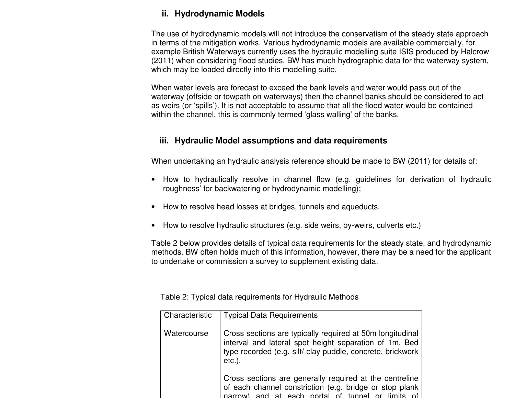# **ii. Hydrodynamic Models**

The use of hydrodynamic models will not introduce the conservatism of the steady state approach in terms of the mitigation works. Various hydrodynamic models are available commercially, for example British Waterways currently uses the hydraulic modelling suite ISIS produced by Halcrow (2011) when considering flood studies. BW has much hydrographic data for the waterway system, which may be loaded directly into this modelling suite.

When water levels are forecast to exceed the bank levels and water would pass out of the waterway (offside or towpath on waterways) then the channel banks should be considered to act as weirs (or 'spills'). It is not acceptable to assume that all the flood water would be contained within the channel, this is commonly termed 'glass walling' of the banks.

# **iii. Hydraulic Model assumptions and data requirements**

When undertaking an hydraulic analysis reference should be made to BW (2011) for details of:

- How to hydraulically resolve in channel flow (e.g. guidelines for derivation of hydraulic roughness' for backwatering or hydrodynamic modelling);
- How to resolve head losses at bridges, tunnels and aqueducts.
- How to resolve hydraulic structures (e.g. side weirs, by-weirs, culverts etc.)

Table 2 below provides details of typical data requirements for the steady state, and hydrodynamic methods. BW often holds much of this information, however, there may be a need for the applicant to undertake or commission a survey to supplement existing data.

| Characteristic | <b>Typical Data Requirements</b>                                                                                                                                                               |  |
|----------------|------------------------------------------------------------------------------------------------------------------------------------------------------------------------------------------------|--|
| Watercourse    | Cross sections are typically required at 50m longitudinal<br>interval and lateral spot height separation of 1m. Bed<br>type recorded (e.g. silt/ clay puddle, concrete, brickwork<br>$etc.$ ). |  |
|                | Cross sections are generally required at the centreline<br>of each channel constriction (e.g. bridge or stop plank  <br>narrow) and at each portal of tunnel or limits of                      |  |

Table 2: Typical data requirements for Hydraulic Methods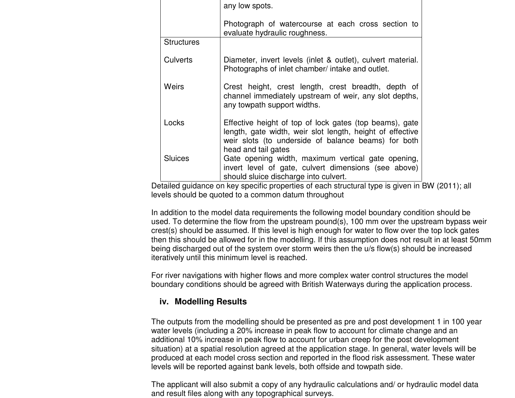|                   | any low spots.                                                                                                                                                                                     |
|-------------------|----------------------------------------------------------------------------------------------------------------------------------------------------------------------------------------------------|
|                   | Photograph of watercourse at each cross section to<br>evaluate hydraulic roughness.                                                                                                                |
| <b>Structures</b> |                                                                                                                                                                                                    |
| <b>Culverts</b>   | Diameter, invert levels (inlet & outlet), culvert material.<br>Photographs of inlet chamber/ intake and outlet.                                                                                    |
| <b>Weirs</b>      | Crest height, crest length, crest breadth, depth of<br>channel immediately upstream of weir, any slot depths,<br>any towpath support widths.                                                       |
| Locks             | Effective height of top of lock gates (top beams), gate<br>length, gate width, weir slot length, height of effective<br>weir slots (to underside of balance beams) for both<br>head and tail gates |
| <b>Sluices</b>    | Gate opening width, maximum vertical gate opening,<br>invert level of gate, culvert dimensions (see above)<br>should sluice discharge into culvert.                                                |

Detailed guidance on key specific properties of each structural type is given in BW (2011); all levels should be quoted to a common datum throughout

In addition to the model data requirements the following model boundary condition should be used. To determine the flow from the upstream pound(s), 100 mm over the upstream bypass weir crest(s) should be assumed. If this level is high enough for water to flow over the top lock gates then this should be allowed for in the modelling. If this assumption does not result in at least 50mm being discharged out of the system over storm weirs then the u/s flow(s) should be increased iteratively until this minimum level is reached.

For river navigations with higher flows and more complex water control structures the model boundary conditions should be agreed with British Waterways during the application process.

# **iv. Modelling Results**

The outputs from the modelling should be presented as pre and post development 1 in 100 year water levels (including a 20% increase in peak flow to account for climate change and an additional 10% increase in peak flow to account for urban creep for the post development situation) at a spatial resolution agreed at the application stage. In general, water levels will be produced at each model cross section and reported in the flood risk assessment. These water levels will be reported against bank levels, both offside and towpath side.

The applicant will also submit a copy of any hydraulic calculations and/ or hydraulic model data and result files along with any topographical surveys.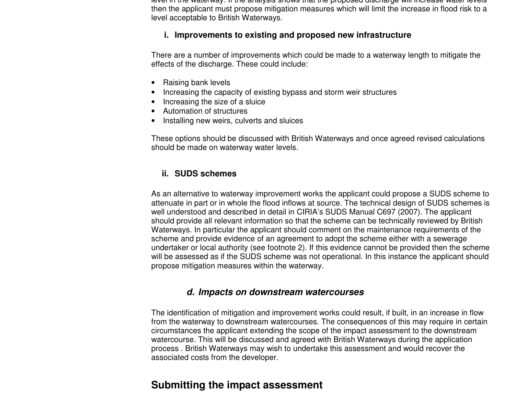level in the waterway. If the analysis shows that the proposed discharge will increase water levels then the applicant must propose mitigation measures which will limit the increase in flood risk to a level acceptable to British Waterways.

# **i. Improvements to existing and proposed new infrastructure**

There are a number of improvements which could be made to a waterway length to mitigate the effects of the discharge. These could include:

- Raising bank levels
- Increasing the capacity of existing bypass and storm weir structures
- Increasing the size of a sluice
- Automation of structures
- Installing new weirs, culverts and sluices

These options should be discussed with British Waterways and once agreed revised calculations should be made on waterway water levels.

# **ii. SUDS schemes**

As an alternative to waterway improvement works the applicant could propose a SUDS scheme to attenuate in part or in whole the flood inflows at source. The technical design of SUDS schemes is well understood and described in detail in CIRIA's SUDS Manual C697 (2007). The applicant should provide all relevant information so that the scheme can be technically reviewed by British Waterways. In particular the applicant should comment on the maintenance requirements of the scheme and provide evidence of an agreement to adopt the scheme either with a sewerage undertaker or local authority (see footnote 2). If this evidence cannot be provided then the scheme will be assessed as if the SUDS scheme was not operational. In this instance the applicant should propose mitigation measures within the waterway.

# **d. Impacts on downstream watercourses**

The identification of mitigation and improvement works could result, if built, in an increase in flow from the waterway to downstream watercourses. The consequences of this may require in certain circumstances the applicant extending the scope of the impact assessment to the downstream watercourse. This will be discussed and agreed with British Waterways during the application process . British Waterways may wish to undertake this assessment and would recover the associated costs from the developer.

# **Submitting the impact assessment**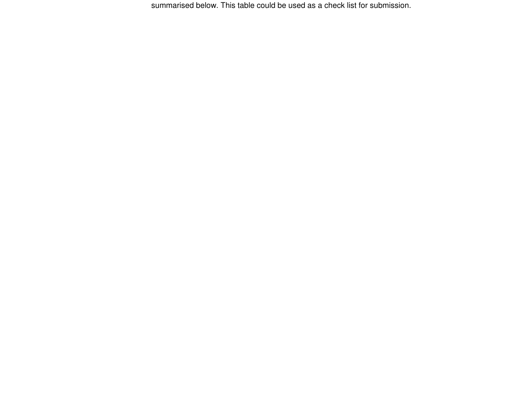summarised below. This table could be used as a check list for submission.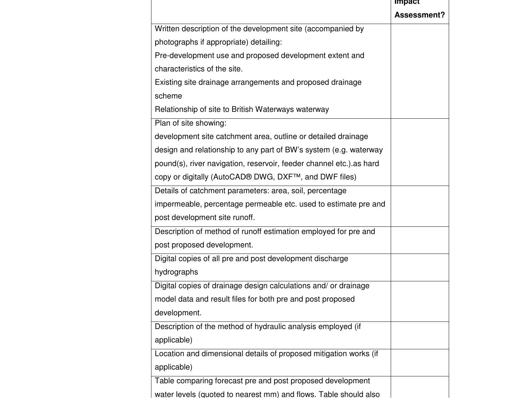|                                                                     | <b>Impact</b>      |
|---------------------------------------------------------------------|--------------------|
|                                                                     | <b>Assessment?</b> |
| Written description of the development site (accompanied by         |                    |
| photographs if appropriate) detailing:                              |                    |
| Pre-development use and proposed development extent and             |                    |
| characteristics of the site.                                        |                    |
| Existing site drainage arrangements and proposed drainage           |                    |
| scheme                                                              |                    |
| Relationship of site to British Waterways waterway                  |                    |
| Plan of site showing:                                               |                    |
| development site catchment area, outline or detailed drainage       |                    |
| design and relationship to any part of BW's system (e.g. waterway   |                    |
| pound(s), river navigation, reservoir, feeder channel etc.) as hard |                    |
| copy or digitally (AutoCAD® DWG, DXF™, and DWF files)               |                    |
| Details of catchment parameters: area, soil, percentage             |                    |
| impermeable, percentage permeable etc. used to estimate pre and     |                    |
| post development site runoff.                                       |                    |
| Description of method of runoff estimation employed for pre and     |                    |
| post proposed development.                                          |                    |
| Digital copies of all pre and post development discharge            |                    |
| hydrographs                                                         |                    |
| Digital copies of drainage design calculations and/ or drainage     |                    |
| model data and result files for both pre and post proposed          |                    |
| development.                                                        |                    |
| Description of the method of hydraulic analysis employed (if        |                    |
| applicable)                                                         |                    |
| Location and dimensional details of proposed mitigation works (if   |                    |
| applicable)                                                         |                    |
| Table comparing forecast pre and post proposed development          |                    |
| water levels (quoted to nearest mm) and flows. Table should also    |                    |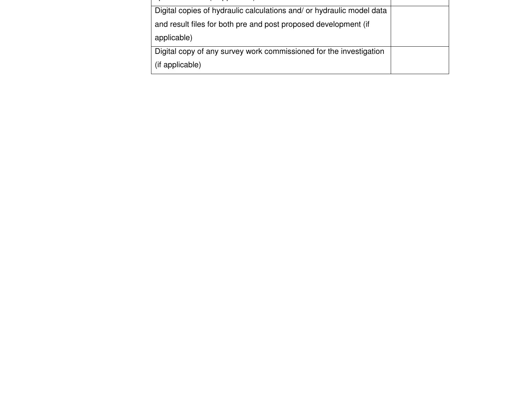| Digital copies of hydraulic calculations and/ or hydraulic model data |  |
|-----------------------------------------------------------------------|--|
| and result files for both pre and post proposed development (if       |  |
| applicable)                                                           |  |
| Digital copy of any survey work commissioned for the investigation    |  |
| (if applicable)                                                       |  |